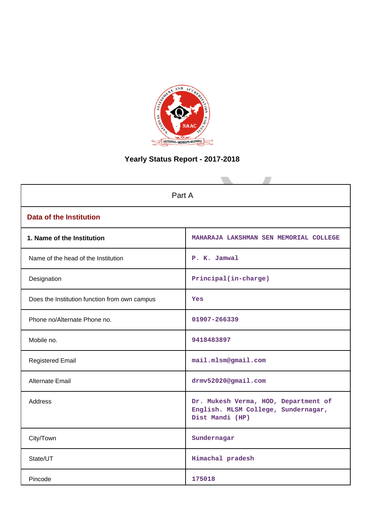

# **Yearly Status Report - 2017-2018**

| Part A                                        |                                                                                                |  |  |  |
|-----------------------------------------------|------------------------------------------------------------------------------------------------|--|--|--|
| <b>Data of the Institution</b>                |                                                                                                |  |  |  |
| 1. Name of the Institution                    | MAHARAJA LAKSHMAN SEN MEMORIAL COLLEGE                                                         |  |  |  |
| Name of the head of the Institution           | P. K. Jamwal                                                                                   |  |  |  |
| Designation                                   | Principal(in-charge)                                                                           |  |  |  |
| Does the Institution function from own campus | Yes                                                                                            |  |  |  |
| Phone no/Alternate Phone no.                  | 01907-266339                                                                                   |  |  |  |
| Mobile no.                                    | 9418483897                                                                                     |  |  |  |
| <b>Registered Email</b>                       | mail.mlsm@gmail.com                                                                            |  |  |  |
| Alternate Email                               | drmv52020@gmail.com                                                                            |  |  |  |
| <b>Address</b>                                | Dr. Mukesh Verma, HOD, Department of<br>English. MLSM College, Sundernagar,<br>Dist Mandi (HP) |  |  |  |
| City/Town                                     | Sundernagar                                                                                    |  |  |  |
| State/UT                                      | Himachal pradesh                                                                               |  |  |  |
| Pincode                                       | 175018                                                                                         |  |  |  |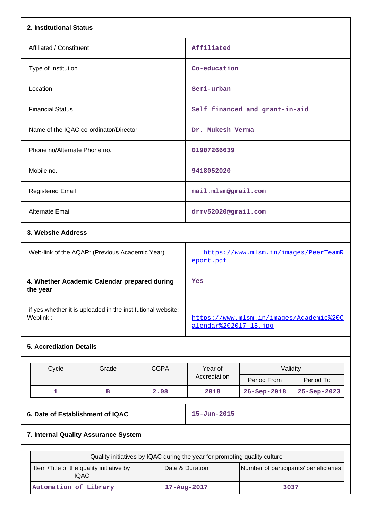| 2. Institutional Status                                                  |                                  |                                                                  |                                |                   |  |  |
|--------------------------------------------------------------------------|----------------------------------|------------------------------------------------------------------|--------------------------------|-------------------|--|--|
| Affiliated / Constituent                                                 |                                  | Affiliated                                                       |                                |                   |  |  |
| Type of Institution                                                      |                                  | Co-education                                                     |                                |                   |  |  |
| Location                                                                 |                                  | Semi-urban                                                       |                                |                   |  |  |
| <b>Financial Status</b>                                                  |                                  |                                                                  | Self financed and grant-in-aid |                   |  |  |
| Name of the IQAC co-ordinator/Director                                   |                                  | Dr. Mukesh Verma                                                 |                                |                   |  |  |
| Phone no/Alternate Phone no.                                             |                                  | 01907266639                                                      |                                |                   |  |  |
| Mobile no.                                                               | 9418052020                       |                                                                  |                                |                   |  |  |
| <b>Registered Email</b>                                                  |                                  | mail.mlsm@gmail.com                                              |                                |                   |  |  |
| Alternate Email                                                          |                                  | drmv52020@gmail.com                                              |                                |                   |  |  |
| 3. Website Address                                                       |                                  |                                                                  |                                |                   |  |  |
| Web-link of the AQAR: (Previous Academic Year)                           |                                  | https://www.mlsm.in/images/PeerTeamR<br>eport.pdf                |                                |                   |  |  |
| 4. Whether Academic Calendar prepared during<br>the year                 |                                  | Yes                                                              |                                |                   |  |  |
| if yes, whether it is uploaded in the institutional website:<br>Weblink: |                                  | https://www.mlsm.in/images/Academic%20C<br>alendar%202017-18.jpq |                                |                   |  |  |
| <b>5. Accrediation Details</b>                                           |                                  |                                                                  |                                |                   |  |  |
| Cycle<br>Grade                                                           | <b>CGPA</b>                      | Year of                                                          | Validity                       |                   |  |  |
|                                                                          |                                  | Accrediation                                                     | Period From                    | Period To         |  |  |
| $\mathbf{1}$<br>в                                                        | 2.08                             | 2018                                                             | 26-Sep-2018                    | 25-Sep-2023       |  |  |
|                                                                          | 6. Date of Establishment of IQAC |                                                                  |                                | $15 - Jun - 2015$ |  |  |
| 7. Internal Quality Assurance System                                     |                                  |                                                                  |                                |                   |  |  |

| Quality initiatives by IQAC during the year for promoting quality culture |                                                          |      |  |  |  |  |
|---------------------------------------------------------------------------|----------------------------------------------------------|------|--|--|--|--|
| Item / Title of the quality initiative by<br>IQAC.                        | Number of participants/ beneficiaries<br>Date & Duration |      |  |  |  |  |
| Automation of Library                                                     | $17 - Aug - 2017$                                        | 3037 |  |  |  |  |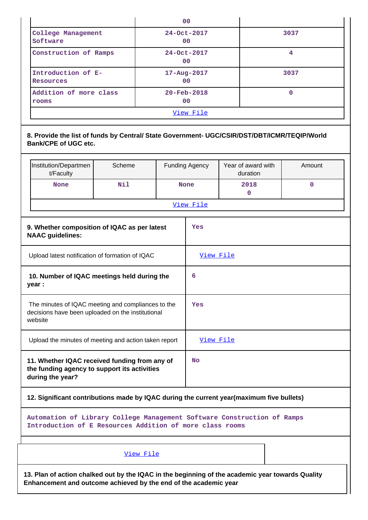|                                 | 0 <sub>0</sub>                      |      |
|---------------------------------|-------------------------------------|------|
| College Management<br>Software  | $24 - Oct - 2017$<br>00             | 3037 |
| Construction of Ramps           | 24-Oct-2017<br>00                   | 4    |
| Introduction of E-<br>Resources | $17 - Aug - 2017$<br>0 <sup>0</sup> | 3037 |
| Addition of more class<br>rooms | $20 - \text{Feb} - 2018$<br>00      | 0    |
|                                 | <u>View File</u>                    |      |

|                                                       | Institution/Departmen<br>t/Faculty                                                                                 | Scheme |           | <b>Funding Agency</b> | Year of award with<br>duration | Amount |  |  |
|-------------------------------------------------------|--------------------------------------------------------------------------------------------------------------------|--------|-----------|-----------------------|--------------------------------|--------|--|--|
|                                                       | <b>None</b>                                                                                                        | Nil    |           | <b>None</b>           | 2018<br>$\mathbf{0}$           | 0      |  |  |
|                                                       |                                                                                                                    |        | View File |                       |                                |        |  |  |
|                                                       | 9. Whether composition of IQAC as per latest<br><b>NAAC</b> guidelines:                                            |        | Yes       |                       |                                |        |  |  |
|                                                       | Upload latest notification of formation of IQAC                                                                    |        | View File |                       |                                |        |  |  |
|                                                       | 10. Number of IQAC meetings held during the<br>year :                                                              |        |           | 6                     |                                |        |  |  |
|                                                       | The minutes of IQAC meeting and compliances to the<br>decisions have been uploaded on the institutional<br>website |        |           | Yes                   |                                |        |  |  |
| Upload the minutes of meeting and action taken report |                                                                                                                    |        |           | View File             |                                |        |  |  |
|                                                       | 11. Whether IQAC received funding from any of<br>the funding agency to support its activities<br>during the year?  |        |           |                       |                                |        |  |  |

**12. Significant contributions made by IQAC during the current year(maximum five bullets)**

**Automation of Library College Management Software Construction of Ramps Introduction of E Resources Addition of more class rooms**

## [View File](https://assessmentonline.naac.gov.in/public/Postacc/Contribution/5245_Contribution.xlsx)

**13. Plan of action chalked out by the IQAC in the beginning of the academic year towards Quality Enhancement and outcome achieved by the end of the academic year**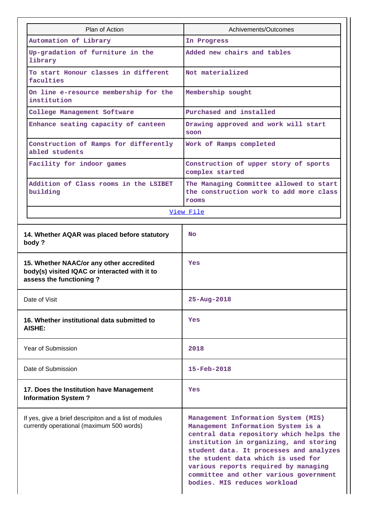| Plan of Action                                                                                                       | Achivements/Outcomes                                                                                                                                                                                                                                                                                                                                              |  |  |  |
|----------------------------------------------------------------------------------------------------------------------|-------------------------------------------------------------------------------------------------------------------------------------------------------------------------------------------------------------------------------------------------------------------------------------------------------------------------------------------------------------------|--|--|--|
| Automation of Library                                                                                                | In Progress                                                                                                                                                                                                                                                                                                                                                       |  |  |  |
|                                                                                                                      | Added new chairs and tables                                                                                                                                                                                                                                                                                                                                       |  |  |  |
| Up-gradation of furniture in the<br>library                                                                          |                                                                                                                                                                                                                                                                                                                                                                   |  |  |  |
| To start Honour classes in different<br>faculties                                                                    | Not materialized                                                                                                                                                                                                                                                                                                                                                  |  |  |  |
| On line e-resource membership for the<br>institution                                                                 | Membership sought                                                                                                                                                                                                                                                                                                                                                 |  |  |  |
| College Management Software                                                                                          | Purchased and installed                                                                                                                                                                                                                                                                                                                                           |  |  |  |
| Enhance seating capacity of canteen                                                                                  | Drawing approved and work will start<br>soon                                                                                                                                                                                                                                                                                                                      |  |  |  |
| Construction of Ramps for differently<br>abled students                                                              | Work of Ramps completed                                                                                                                                                                                                                                                                                                                                           |  |  |  |
| Facility for indoor games                                                                                            | Construction of upper story of sports<br>complex started                                                                                                                                                                                                                                                                                                          |  |  |  |
| Addition of Class rooms in the LSIBET<br>building                                                                    | The Managing Committee allowed to start<br>the construction work to add more class<br>rooms                                                                                                                                                                                                                                                                       |  |  |  |
|                                                                                                                      | View File                                                                                                                                                                                                                                                                                                                                                         |  |  |  |
|                                                                                                                      |                                                                                                                                                                                                                                                                                                                                                                   |  |  |  |
| 14. Whether AQAR was placed before statutory<br>body?                                                                | <b>No</b>                                                                                                                                                                                                                                                                                                                                                         |  |  |  |
| 15. Whether NAAC/or any other accredited<br>body(s) visited IQAC or interacted with it to<br>assess the functioning? | Yes                                                                                                                                                                                                                                                                                                                                                               |  |  |  |
| Date of Visit                                                                                                        | 25-Aug-2018                                                                                                                                                                                                                                                                                                                                                       |  |  |  |
| 16. Whether institutional data submitted to<br>AISHE:                                                                | Yes                                                                                                                                                                                                                                                                                                                                                               |  |  |  |
| Year of Submission                                                                                                   | 2018                                                                                                                                                                                                                                                                                                                                                              |  |  |  |
| Date of Submission                                                                                                   | 15-Feb-2018                                                                                                                                                                                                                                                                                                                                                       |  |  |  |
| 17. Does the Institution have Management<br><b>Information System?</b>                                               | Yes                                                                                                                                                                                                                                                                                                                                                               |  |  |  |
| If yes, give a brief descripiton and a list of modules<br>currently operational (maximum 500 words)                  | Management Information System (MIS)<br>Management Information System is a<br>central data repository which helps the<br>institution in organizing, and storing<br>student data. It processes and analyzes<br>the student data which is used for<br>various reports required by managing<br>committee and other various government<br>bodies. MIS reduces workload |  |  |  |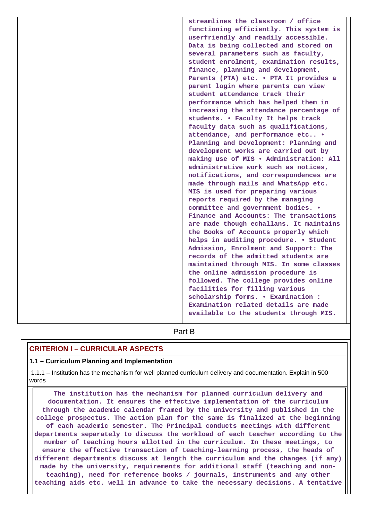|  | streamlines the classroom / office<br>functioning efficiently. This system is<br>userfriendly and readily accessible.<br>Data is being collected and stored on<br>several parameters such as faculty,<br>student enrolment, examination results,<br>finance, planning and development,<br>Parents (PTA) etc. . PTA It provides a<br>parent login where parents can view<br>student attendance track their<br>performance which has helped them in<br>increasing the attendance percentage of<br>students. . Faculty It helps track<br>faculty data such as qualifications,<br>attendance, and performance etc .<br>Planning and Development: Planning and<br>development works are carried out by<br>making use of MIS . Administration: All<br>administrative work such as notices,<br>notifications, and correspondences are<br>made through mails and WhatsApp etc.<br>MIS is used for preparing various<br>reports required by the managing<br>committee and government bodies. .<br>Finance and Accounts: The transactions<br>are made though echallans. It maintains<br>the Books of Accounts properly which<br>helps in auditing procedure. • Student<br>Admission, Enrolment and Support: The<br>records of the admitted students are<br>maintained through MIS. In some classes<br>the online admission procedure is<br>followed. The college provides online<br>facilities for filling various<br>scholarship forms. . Examination :<br>Examination related details are made |
|--|----------------------------------------------------------------------------------------------------------------------------------------------------------------------------------------------------------------------------------------------------------------------------------------------------------------------------------------------------------------------------------------------------------------------------------------------------------------------------------------------------------------------------------------------------------------------------------------------------------------------------------------------------------------------------------------------------------------------------------------------------------------------------------------------------------------------------------------------------------------------------------------------------------------------------------------------------------------------------------------------------------------------------------------------------------------------------------------------------------------------------------------------------------------------------------------------------------------------------------------------------------------------------------------------------------------------------------------------------------------------------------------------------------------------------------------------------------------------------------------|
|  | available to the students through MIS.                                                                                                                                                                                                                                                                                                                                                                                                                                                                                                                                                                                                                                                                                                                                                                                                                                                                                                                                                                                                                                                                                                                                                                                                                                                                                                                                                                                                                                                 |
|  | Part B                                                                                                                                                                                                                                                                                                                                                                                                                                                                                                                                                                                                                                                                                                                                                                                                                                                                                                                                                                                                                                                                                                                                                                                                                                                                                                                                                                                                                                                                                 |

## **CRITERION I – CURRICULAR ASPECTS**

#### **1.1 – Curriculum Planning and Implementation**

 1.1.1 – Institution has the mechanism for well planned curriculum delivery and documentation. Explain in 500 words

 **The institution has the mechanism for planned curriculum delivery and documentation. It ensures the effective implementation of the curriculum through the academic calendar framed by the university and published in the college prospectus. The action plan for the same is finalized at the beginning of each academic semester. The Principal conducts meetings with different departments separately to discuss the workload of each teacher according to the number of teaching hours allotted in the curriculum. In these meetings, to ensure the effective transaction of teaching-learning process, the heads of different departments discuss at length the curriculum and the changes (if any) made by the university, requirements for additional staff (teaching and nonteaching), need for reference books / journals, instruments and any other teaching aids etc. well in advance to take the necessary decisions. A tentative**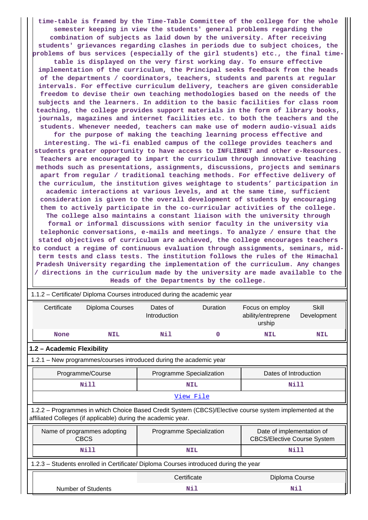**time-table is framed by the Time-Table Committee of the college for the whole semester keeping in view the students' general problems regarding the combination of subjects as laid down by the university. After receiving students' grievances regarding clashes in periods due to subject choices, the problems of bus services (especially of the girl students) etc., the final time-**

**table is displayed on the very first working day. To ensure effective implementation of the curriculum, the Principal seeks feedback from the heads of the departments / coordinators, teachers, students and parents at regular intervals. For effective curriculum delivery, teachers are given considerable freedom to devise their own teaching methodologies based on the needs of the subjects and the learners. In addition to the basic facilities for class room teaching, the college provides support materials in the form of library books, journals, magazines and internet facilities etc. to both the teachers and the students. Whenever needed, teachers can make use of modern audio-visual aids**

**for the purpose of making the teaching learning process effective and interesting. The wi-fi enabled campus of the college provides teachers and students greater opportunity to have access to INFLIBNET and other e-Resources. Teachers are encouraged to impart the curriculum through innovative teaching methods such as presentations, assignments, discussions, projects and seminars apart from regular / traditional teaching methods. For effective delivery of the curriculum, the institution gives weightage to students' participation in academic interactions at various levels, and at the same time, sufficient consideration is given to the overall development of students by encouraging them to actively participate in the co-curricular activities of the college. The college also maintains a constant liaison with the university through formal or informal discussions with senior faculty in the university via telephonic conversations, e-mails and meetings. To analyze / ensure that the stated objectives of curriculum are achieved, the college encourages teachers to conduct a regime of continuous evaluation through assignments, seminars, midterm tests and class tests. The institution follows the rules of the Himachal Pradesh University regarding the implementation of the curriculum. Any changes / directions in the curriculum made by the university are made available to the**

**Heads of the Departments by the college.**

 1.1.2 – Certificate/ Diploma Courses introduced during the academic year Certificate Diploma Courses Dates of Introduction Duration Focus on employ ability/entreprene urship Skill Development  **None NIL Nil 0 NIL NIL 1.2 – Academic Flexibility** 1.2.1 – New programmes/courses introduced during the academic year Programme/Course **Programme Specialization** | Dates of Introduction  **Nill NIL Nill** [View File](https://assessmentonline.naac.gov.in/public/Postacc/Program_introduced/5245_Program_introduced_1626165702.xlsx) 1.2.2 – Programmes in which Choice Based Credit System (CBCS)/Elective course system implemented at the affiliated Colleges (if applicable) during the academic year. Name of programmes adopting CBCS Programme Specialization Figure 1 Date of implementation of CBCS/Elective Course System  **Nill NIL Nill** 1.2.3 – Students enrolled in Certificate/ Diploma Courses introduced during the year Certificate Diploma Course Number of Students **Nil Nil**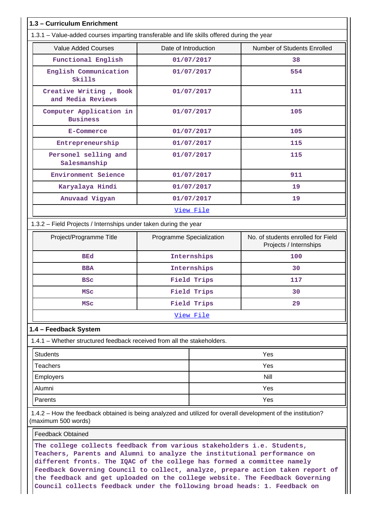| <b>Value Added Courses</b>                                                                                   | Date of Introduction     | Number of Students Enrolled                                  |
|--------------------------------------------------------------------------------------------------------------|--------------------------|--------------------------------------------------------------|
|                                                                                                              |                          |                                                              |
| Functional English                                                                                           | 01/07/2017               | 38                                                           |
| English Communication<br>Skills                                                                              | 01/07/2017               | 554                                                          |
| Creative Writing, Book<br>and Media Reviews                                                                  | 01/07/2017               | 111                                                          |
| Computer Application in<br><b>Business</b>                                                                   | 01/07/2017               | 105                                                          |
| <b>E-Commerce</b>                                                                                            | 01/07/2017               | 105                                                          |
| Entrepreneurship                                                                                             | 01/07/2017               | 115                                                          |
| Personel selling and<br>Salesmanship                                                                         | 01/07/2017               | 115                                                          |
| Environment Seience                                                                                          | 01/07/2017               | 911                                                          |
| Karyalaya Hindi                                                                                              | 01/07/2017               | 19                                                           |
| Anuvaad Vigyan                                                                                               | 01/07/2017               | 19                                                           |
|                                                                                                              | View File                |                                                              |
| 1.3.2 - Field Projects / Internships under taken during the year                                             |                          |                                                              |
| Project/Programme Title                                                                                      | Programme Specialization | No. of students enrolled for Field<br>Projects / Internships |
| <b>BEd</b>                                                                                                   | Internships              | 100                                                          |
| <b>BBA</b>                                                                                                   | Internships              | 30                                                           |
| <b>BSC</b>                                                                                                   | Field Trips              | 117                                                          |
| <b>MSC</b>                                                                                                   | Field Trips              | 30                                                           |
| <b>MSC</b>                                                                                                   | Field Trips              | 29                                                           |
|                                                                                                              | View File                |                                                              |
| 1.4 - Feedback System                                                                                        |                          |                                                              |
| 1.4.1 – Whether structured feedback received from all the stakeholders.                                      |                          |                                                              |
| <b>Students</b>                                                                                              |                          | Yes                                                          |
| <b>Teachers</b>                                                                                              |                          | Yes                                                          |
| <b>Employers</b>                                                                                             |                          | Nill                                                         |
| Alumni                                                                                                       |                          | Yes                                                          |
| Parents                                                                                                      |                          | Yes                                                          |
| 1.4.2 – How the feedback obtained is being analyzed and utilized for overall development of the institution? |                          |                                                              |
| (maximum 500 words)                                                                                          |                          |                                                              |

**different fronts. The IQAC of the college has formed a committee namely Feedback Governing Council to collect, analyze, prepare action taken report of the feedback and get uploaded on the college website. The Feedback Governing Council collects feedback under the following broad heads: 1. Feedback on**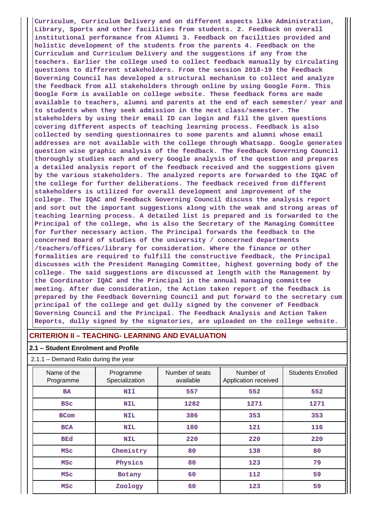**Curriculum, Curriculum Delivery and on different aspects like Administration, Library, Sports and other facilities from students. 2. Feedback on overall institutional performance from Alumni 3. Feedback on facilities provided and holistic development of the students from the parents 4. Feedback on the Curriculum and Curriculum Delivery and the suggestions if any from the teachers. Earlier the college used to collect feedback manually by circulating questions to different stakeholders. From the session 2018-19 the Feedback Governing Council has developed a structural mechanism to collect and analyze the feedback from all stakeholders through online by using Google Form. This Google Form is available on college website. These feedback forms are made available to teachers, alumni and parents at the end of each semester/ year and to students when they seek admission in the next class/semester. The stakeholders by using their email ID can login and fill the given questions covering different aspects of teaching learning process. Feedback is also collected by sending questionnaires to some parents and alumni whose email addresses are not available with the college through Whatsapp. Google generates question wise graphic analysis of the feedback. The Feedback Governing Council thoroughly studies each and every Google analysis of the question and prepares a detailed analysis report of the feedback received and the suggestions given by the various stakeholders. The analyzed reports are forwarded to the IQAC of the college for further deliberations. The feedback received from different stakeholders is utilized for overall development and improvement of the college. The IQAC and Feedback Governing Council discuss the analysis report and sort out the important suggestions along with the weak and strong areas of teaching learning process. A detailed list is prepared and is forwarded to the Principal of the college, who is also the Secretary of the Managing Committee for further necessary action. The Principal forwards the feedback to the concerned Board of studies of the university / concerned departments /teachers/offices/library for consideration. Where the finance or other formalities are required to fulfill the constructive feedback, the Principal discusses with the President Managing Committee, highest governing body of the college. The said suggestions are discussed at length with the Management by the Coordinator IQAC and the Principal in the annual managing committee meeting. After due consideration, the Action taken report of the feedback is prepared by the Feedback Governing Council and put forward to the secretary cum principal of the college and get dully signed by the convener of Feedback Governing Council and the Principal. The Feedback Analysis and Action Taken Reports, dully signed by the signatories, are uploaded on the college website.**

## **CRITERION II – TEACHING- LEARNING AND EVALUATION**

#### **2.1 – Student Enrolment and Profile**

#### 2.1.1 – Demand Ratio during the year

| Name of the<br>Programme | Programme<br>Specialization | Number of seats<br>available | Number of<br>Application received | <b>Students Enrolled</b> |
|--------------------------|-----------------------------|------------------------------|-----------------------------------|--------------------------|
| <b>BA</b>                | NI1                         | 557                          | 552                               | 552                      |
| <b>BSC</b>               | <b>NIL</b>                  | 1282                         | 1271                              | 1271                     |
| <b>BCom</b>              | <b>NIL</b>                  | 386                          | 353                               | 353                      |
| <b>BCA</b>               | <b>NIL</b>                  | 180                          | 121                               | 116                      |
| <b>BEd</b>               | <b>NIL</b>                  | 220                          | 220                               | 220                      |
| <b>MSC</b>               | Chemistry                   | 80                           | 138                               | 80                       |
| <b>MSC</b>               | Physics                     | 80                           | 123                               | 79                       |
| <b>MSC</b>               | Botany                      | 60                           | 112                               | 59                       |
| <b>MSC</b>               | Zoology                     | 60                           | 123                               | 59                       |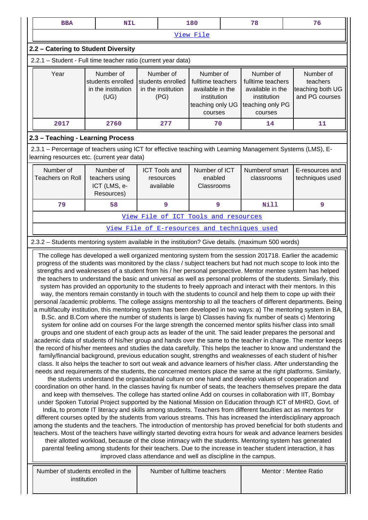| <b>BBA</b>                                                                                                                                                                                                                                                                                                                                                                                                                                                                                                                                                                                                                                                                                                                                                                                                                                                                                                                                                                                                                                                                                                                                                                                                                                                                                                                                                                                                                                                                                                                                                                                                                                                                                                                                                                                                                                                                                                                                                                                                                                                                                                                                                                                                                                                                                                                                                                                                                                                                                                                                                                                                                                                                                                                                                                                                                                                                                                                                                                                                                                                                                                   | <b>NIL</b>                                                |                                                | 180                                    |                                                             | 78                           | 76                                 |  |  |  |
|--------------------------------------------------------------------------------------------------------------------------------------------------------------------------------------------------------------------------------------------------------------------------------------------------------------------------------------------------------------------------------------------------------------------------------------------------------------------------------------------------------------------------------------------------------------------------------------------------------------------------------------------------------------------------------------------------------------------------------------------------------------------------------------------------------------------------------------------------------------------------------------------------------------------------------------------------------------------------------------------------------------------------------------------------------------------------------------------------------------------------------------------------------------------------------------------------------------------------------------------------------------------------------------------------------------------------------------------------------------------------------------------------------------------------------------------------------------------------------------------------------------------------------------------------------------------------------------------------------------------------------------------------------------------------------------------------------------------------------------------------------------------------------------------------------------------------------------------------------------------------------------------------------------------------------------------------------------------------------------------------------------------------------------------------------------------------------------------------------------------------------------------------------------------------------------------------------------------------------------------------------------------------------------------------------------------------------------------------------------------------------------------------------------------------------------------------------------------------------------------------------------------------------------------------------------------------------------------------------------------------------------------------------------------------------------------------------------------------------------------------------------------------------------------------------------------------------------------------------------------------------------------------------------------------------------------------------------------------------------------------------------------------------------------------------------------------------------------------------------|-----------------------------------------------------------|------------------------------------------------|----------------------------------------|-------------------------------------------------------------|------------------------------|------------------------------------|--|--|--|
|                                                                                                                                                                                                                                                                                                                                                                                                                                                                                                                                                                                                                                                                                                                                                                                                                                                                                                                                                                                                                                                                                                                                                                                                                                                                                                                                                                                                                                                                                                                                                                                                                                                                                                                                                                                                                                                                                                                                                                                                                                                                                                                                                                                                                                                                                                                                                                                                                                                                                                                                                                                                                                                                                                                                                                                                                                                                                                                                                                                                                                                                                                              | View File                                                 |                                                |                                        |                                                             |                              |                                    |  |  |  |
| 2.2 - Catering to Student Diversity                                                                                                                                                                                                                                                                                                                                                                                                                                                                                                                                                                                                                                                                                                                                                                                                                                                                                                                                                                                                                                                                                                                                                                                                                                                                                                                                                                                                                                                                                                                                                                                                                                                                                                                                                                                                                                                                                                                                                                                                                                                                                                                                                                                                                                                                                                                                                                                                                                                                                                                                                                                                                                                                                                                                                                                                                                                                                                                                                                                                                                                                          |                                                           |                                                |                                        |                                                             |                              |                                    |  |  |  |
| 2.2.1 - Student - Full time teacher ratio (current year data)                                                                                                                                                                                                                                                                                                                                                                                                                                                                                                                                                                                                                                                                                                                                                                                                                                                                                                                                                                                                                                                                                                                                                                                                                                                                                                                                                                                                                                                                                                                                                                                                                                                                                                                                                                                                                                                                                                                                                                                                                                                                                                                                                                                                                                                                                                                                                                                                                                                                                                                                                                                                                                                                                                                                                                                                                                                                                                                                                                                                                                                |                                                           |                                                |                                        |                                                             |                              |                                    |  |  |  |
| Year<br>Number of<br>Number of<br>Number of<br>Number of<br>students enrolled<br>fulltime teachers<br>fulltime teachers<br>students enrolled<br>in the institution<br>in the institution<br>available in the<br>available in the<br>(UG)<br>(PG)<br>institution<br>institution<br>teaching only UG<br>teaching only PG<br>courses<br>courses                                                                                                                                                                                                                                                                                                                                                                                                                                                                                                                                                                                                                                                                                                                                                                                                                                                                                                                                                                                                                                                                                                                                                                                                                                                                                                                                                                                                                                                                                                                                                                                                                                                                                                                                                                                                                                                                                                                                                                                                                                                                                                                                                                                                                                                                                                                                                                                                                                                                                                                                                                                                                                                                                                                                                                 |                                                           |                                                |                                        | Number of<br>teachers<br>teaching both UG<br>and PG courses |                              |                                    |  |  |  |
| 2017                                                                                                                                                                                                                                                                                                                                                                                                                                                                                                                                                                                                                                                                                                                                                                                                                                                                                                                                                                                                                                                                                                                                                                                                                                                                                                                                                                                                                                                                                                                                                                                                                                                                                                                                                                                                                                                                                                                                                                                                                                                                                                                                                                                                                                                                                                                                                                                                                                                                                                                                                                                                                                                                                                                                                                                                                                                                                                                                                                                                                                                                                                         | 2760                                                      | 277                                            | 70                                     |                                                             | 14                           | 11                                 |  |  |  |
| 2.3 - Teaching - Learning Process                                                                                                                                                                                                                                                                                                                                                                                                                                                                                                                                                                                                                                                                                                                                                                                                                                                                                                                                                                                                                                                                                                                                                                                                                                                                                                                                                                                                                                                                                                                                                                                                                                                                                                                                                                                                                                                                                                                                                                                                                                                                                                                                                                                                                                                                                                                                                                                                                                                                                                                                                                                                                                                                                                                                                                                                                                                                                                                                                                                                                                                                            |                                                           |                                                |                                        |                                                             |                              |                                    |  |  |  |
| 2.3.1 – Percentage of teachers using ICT for effective teaching with Learning Management Systems (LMS), E-<br>learning resources etc. (current year data)                                                                                                                                                                                                                                                                                                                                                                                                                                                                                                                                                                                                                                                                                                                                                                                                                                                                                                                                                                                                                                                                                                                                                                                                                                                                                                                                                                                                                                                                                                                                                                                                                                                                                                                                                                                                                                                                                                                                                                                                                                                                                                                                                                                                                                                                                                                                                                                                                                                                                                                                                                                                                                                                                                                                                                                                                                                                                                                                                    |                                                           |                                                |                                        |                                                             |                              |                                    |  |  |  |
| Number of<br>Teachers on Roll                                                                                                                                                                                                                                                                                                                                                                                                                                                                                                                                                                                                                                                                                                                                                                                                                                                                                                                                                                                                                                                                                                                                                                                                                                                                                                                                                                                                                                                                                                                                                                                                                                                                                                                                                                                                                                                                                                                                                                                                                                                                                                                                                                                                                                                                                                                                                                                                                                                                                                                                                                                                                                                                                                                                                                                                                                                                                                                                                                                                                                                                                | Number of<br>teachers using<br>ICT (LMS, e-<br>Resources) | <b>ICT Tools and</b><br>resources<br>available | Number of ICT<br>enabled<br>Classrooms |                                                             | Numberof smart<br>classrooms | E-resources and<br>techniques used |  |  |  |
| 79                                                                                                                                                                                                                                                                                                                                                                                                                                                                                                                                                                                                                                                                                                                                                                                                                                                                                                                                                                                                                                                                                                                                                                                                                                                                                                                                                                                                                                                                                                                                                                                                                                                                                                                                                                                                                                                                                                                                                                                                                                                                                                                                                                                                                                                                                                                                                                                                                                                                                                                                                                                                                                                                                                                                                                                                                                                                                                                                                                                                                                                                                                           | 58                                                        | 9                                              | 9                                      |                                                             | Nill                         | 9                                  |  |  |  |
|                                                                                                                                                                                                                                                                                                                                                                                                                                                                                                                                                                                                                                                                                                                                                                                                                                                                                                                                                                                                                                                                                                                                                                                                                                                                                                                                                                                                                                                                                                                                                                                                                                                                                                                                                                                                                                                                                                                                                                                                                                                                                                                                                                                                                                                                                                                                                                                                                                                                                                                                                                                                                                                                                                                                                                                                                                                                                                                                                                                                                                                                                                              |                                                           | View File of ICT Tools and resources           |                                        |                                                             |                              |                                    |  |  |  |
|                                                                                                                                                                                                                                                                                                                                                                                                                                                                                                                                                                                                                                                                                                                                                                                                                                                                                                                                                                                                                                                                                                                                                                                                                                                                                                                                                                                                                                                                                                                                                                                                                                                                                                                                                                                                                                                                                                                                                                                                                                                                                                                                                                                                                                                                                                                                                                                                                                                                                                                                                                                                                                                                                                                                                                                                                                                                                                                                                                                                                                                                                                              |                                                           | View File of E-resources and techniques used   |                                        |                                                             |                              |                                    |  |  |  |
| 2.3.2 - Students mentoring system available in the institution? Give details. (maximum 500 words)                                                                                                                                                                                                                                                                                                                                                                                                                                                                                                                                                                                                                                                                                                                                                                                                                                                                                                                                                                                                                                                                                                                                                                                                                                                                                                                                                                                                                                                                                                                                                                                                                                                                                                                                                                                                                                                                                                                                                                                                                                                                                                                                                                                                                                                                                                                                                                                                                                                                                                                                                                                                                                                                                                                                                                                                                                                                                                                                                                                                            |                                                           |                                                |                                        |                                                             |                              |                                    |  |  |  |
| The college has developed a well organized mentoring system from the session 201718. Earlier the academic<br>progress of the students was monitored by the class / subject teachers but had not much scope to look into the<br>strengths and weaknesses of a student from his / her personal perspective. Mentor mentee system has helped<br>the teachers to understand the basic and universal as well as personal problems of the students. Similarly, this<br>system has provided an opportunity to the students to freely approach and interact with their mentors. In this<br>way, the mentors remain constantly in touch with the students to council and help them to cope up with their<br>personal /academic problems. The college assigns mentorship to all the teachers of different departments. Being<br>a multifaculty institution, this mentoring system has been developed in two ways: a) The mentoring system in BA,<br>B.Sc. and B.Com where the number of students is large b) Classes having fix number of seats c) Mentoring<br>system for online add on courses For the large strength the concerned mentor splits his/her class into small<br>groups and one student of each group acts as leader of the unit. The said leader prepares the personal and<br>academic data of students of his/her group and hands over the same to the teacher in charge. The mentor keeps<br>the record of his/her mentees and studies the data carefully. This helps the teacher to know and understand the<br>family/financial background, previous education sought, strengths and weaknesses of each student of his/her<br>class. It also helps the teacher to sort out weak and advance learners of his/her class. After understanding the<br>needs and requirements of the students, the concerned mentors place the same at the right platforms. Similarly,<br>the students understand the organizational culture on one hand and develop values of cooperation and<br>coordination on other hand. In the classes having fix number of seats, the teachers themselves prepare the data<br>and keep with themselves. The college has started online Add on courses in collaboration with IIT, Bombay<br>under Spoken Tutorial Project supported by the National Mission on Education through ICT of MHRD, Govt. of<br>India, to promote IT literacy and skills among students. Teachers from different faculties act as mentors for<br>different courses opted by the students from various streams. This has increased the interdisciplinary approach<br>among the students and the teachers. The introduction of mentorship has proved beneficial for both students and<br>teachers. Most of the teachers have willingly started devoting extra hours for weak and advance learners besides<br>their allotted workload, because of the close intimacy with the students. Mentoring system has generated<br>parental feeling among students for their teachers. Due to the increase in teacher student interaction, it has<br>improved class attendance and well as discipline in the campus. |                                                           |                                                |                                        |                                                             |                              |                                    |  |  |  |
| Number of students enrolled in the<br>institution                                                                                                                                                                                                                                                                                                                                                                                                                                                                                                                                                                                                                                                                                                                                                                                                                                                                                                                                                                                                                                                                                                                                                                                                                                                                                                                                                                                                                                                                                                                                                                                                                                                                                                                                                                                                                                                                                                                                                                                                                                                                                                                                                                                                                                                                                                                                                                                                                                                                                                                                                                                                                                                                                                                                                                                                                                                                                                                                                                                                                                                            |                                                           | Number of fulltime teachers                    |                                        |                                                             |                              | Mentor: Mentee Ratio               |  |  |  |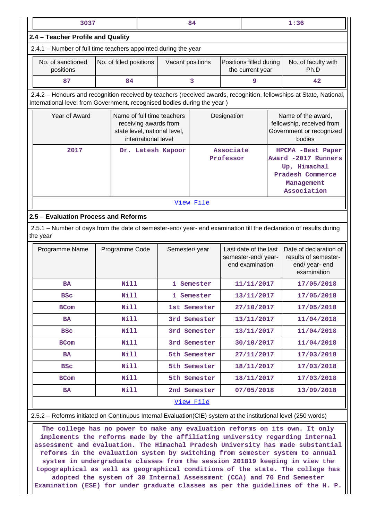| 3037<br>84                                                                                                                                                                                     |  |                                                                                                                                                                                 |   |                                                                                                                                                                                                                                                                                                  | 1:36                                                                                                      |                                       |                                                                                                                                                                                                                                                                         |
|------------------------------------------------------------------------------------------------------------------------------------------------------------------------------------------------|--|---------------------------------------------------------------------------------------------------------------------------------------------------------------------------------|---|--------------------------------------------------------------------------------------------------------------------------------------------------------------------------------------------------------------------------------------------------------------------------------------------------|-----------------------------------------------------------------------------------------------------------|---------------------------------------|-------------------------------------------------------------------------------------------------------------------------------------------------------------------------------------------------------------------------------------------------------------------------|
| 2.4 - Teacher Profile and Quality                                                                                                                                                              |  |                                                                                                                                                                                 |   |                                                                                                                                                                                                                                                                                                  |                                                                                                           |                                       |                                                                                                                                                                                                                                                                         |
|                                                                                                                                                                                                |  |                                                                                                                                                                                 |   |                                                                                                                                                                                                                                                                                                  |                                                                                                           |                                       |                                                                                                                                                                                                                                                                         |
|                                                                                                                                                                                                |  |                                                                                                                                                                                 |   |                                                                                                                                                                                                                                                                                                  | the current year                                                                                          |                                       | No. of faculty with<br>Ph.D                                                                                                                                                                                                                                             |
| 84                                                                                                                                                                                             |  |                                                                                                                                                                                 | 3 |                                                                                                                                                                                                                                                                                                  | 9                                                                                                         |                                       | 42                                                                                                                                                                                                                                                                      |
| 2.4.2 - Honours and recognition received by teachers (received awards, recognition, fellowships at State, National,<br>International level from Government, recognised bodies during the year) |  |                                                                                                                                                                                 |   |                                                                                                                                                                                                                                                                                                  |                                                                                                           |                                       |                                                                                                                                                                                                                                                                         |
| Year of Award<br>Name of full time teachers<br>receiving awards from<br>state level, national level,<br>international level                                                                    |  |                                                                                                                                                                                 |   |                                                                                                                                                                                                                                                                                                  |                                                                                                           |                                       | Name of the award,<br>fellowship, received from<br>Government or recognized<br>bodies                                                                                                                                                                                   |
| 2017<br>Dr. Latesh Kapoor                                                                                                                                                                      |  |                                                                                                                                                                                 |   |                                                                                                                                                                                                                                                                                                  | HPCMA -Best Paper<br>Award -2017 Runners<br>Up, Himachal<br>Pradesh Commerce<br>Management<br>Association |                                       |                                                                                                                                                                                                                                                                         |
|                                                                                                                                                                                                |  |                                                                                                                                                                                 |   |                                                                                                                                                                                                                                                                                                  |                                                                                                           |                                       |                                                                                                                                                                                                                                                                         |
|                                                                                                                                                                                                |  |                                                                                                                                                                                 |   |                                                                                                                                                                                                                                                                                                  |                                                                                                           |                                       |                                                                                                                                                                                                                                                                         |
|                                                                                                                                                                                                |  |                                                                                                                                                                                 |   |                                                                                                                                                                                                                                                                                                  |                                                                                                           |                                       |                                                                                                                                                                                                                                                                         |
|                                                                                                                                                                                                |  |                                                                                                                                                                                 |   |                                                                                                                                                                                                                                                                                                  |                                                                                                           |                                       | Date of declaration of<br>results of semester-<br>end/ year- end<br>examination                                                                                                                                                                                         |
|                                                                                                                                                                                                |  |                                                                                                                                                                                 |   |                                                                                                                                                                                                                                                                                                  | 11/11/2017                                                                                                |                                       | 17/05/2018                                                                                                                                                                                                                                                              |
|                                                                                                                                                                                                |  |                                                                                                                                                                                 |   | 13/11/2017                                                                                                                                                                                                                                                                                       |                                                                                                           |                                       | 17/05/2018                                                                                                                                                                                                                                                              |
|                                                                                                                                                                                                |  |                                                                                                                                                                                 |   | 27/10/2017                                                                                                                                                                                                                                                                                       |                                                                                                           |                                       | 17/05/2018                                                                                                                                                                                                                                                              |
|                                                                                                                                                                                                |  |                                                                                                                                                                                 |   |                                                                                                                                                                                                                                                                                                  | 13/11/2017                                                                                                |                                       | 11/04/2018                                                                                                                                                                                                                                                              |
|                                                                                                                                                                                                |  |                                                                                                                                                                                 |   |                                                                                                                                                                                                                                                                                                  | 13/11/2017                                                                                                |                                       | 11/04/2018                                                                                                                                                                                                                                                              |
|                                                                                                                                                                                                |  |                                                                                                                                                                                 |   |                                                                                                                                                                                                                                                                                                  | 30/10/2017                                                                                                |                                       | 11/04/2018                                                                                                                                                                                                                                                              |
|                                                                                                                                                                                                |  |                                                                                                                                                                                 |   |                                                                                                                                                                                                                                                                                                  |                                                                                                           |                                       | 17/03/2018                                                                                                                                                                                                                                                              |
|                                                                                                                                                                                                |  |                                                                                                                                                                                 |   |                                                                                                                                                                                                                                                                                                  |                                                                                                           |                                       | 17/03/2018                                                                                                                                                                                                                                                              |
|                                                                                                                                                                                                |  |                                                                                                                                                                                 |   |                                                                                                                                                                                                                                                                                                  |                                                                                                           |                                       | 17/03/2018                                                                                                                                                                                                                                                              |
|                                                                                                                                                                                                |  |                                                                                                                                                                                 |   |                                                                                                                                                                                                                                                                                                  |                                                                                                           |                                       | 13/09/2018                                                                                                                                                                                                                                                              |
|                                                                                                                                                                                                |  |                                                                                                                                                                                 |   |                                                                                                                                                                                                                                                                                                  |                                                                                                           |                                       |                                                                                                                                                                                                                                                                         |
|                                                                                                                                                                                                |  | No. of filled positions<br>2.5 - Evaluation Process and Reforms<br>Programme Code<br>Nill<br><b>Nill</b><br><b>Nill</b><br>Nill<br>Nill<br>Nill<br>Nill<br>Nill<br>Nill<br>Nill |   | 2.4.1 – Number of full time teachers appointed during the year<br>Vacant positions<br>View File<br>Semester/year<br>1 Semester<br>1 Semester<br>1st Semester<br>3rd Semester<br>3rd Semester<br>3rd Semester<br>5th Semester<br>5th Semester<br>5th Semester<br>2nd Semester<br><u>View File</u> |                                                                                                           | Designation<br>Associate<br>Professor | Positions filled during<br>2.5.1 – Number of days from the date of semester-end/ year- end examination till the declaration of results during<br>Last date of the last<br>semester-end/year-<br>end examination<br>27/11/2017<br>18/11/2017<br>18/11/2017<br>07/05/2018 |

2.5.2 – Reforms initiated on Continuous Internal Evaluation(CIE) system at the institutional level (250 words)

 **The college has no power to make any evaluation reforms on its own. It only implements the reforms made by the affiliating university regarding internal assessment and evaluation. The Himachal Pradesh University has made substantial reforms in the evaluation system by switching from semester system to annual system in undergraduate classes from the session 201819 keeping in view the topographical as well as geographical conditions of the state. The college has adopted the system of 30 Internal Assessment (CCA) and 70 End Semester Examination (ESE) for under graduate classes as per the guidelines of the H. P.**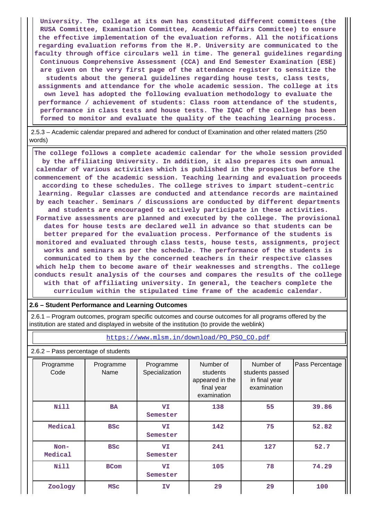**University. The college at its own has constituted different committees (the RUSA Committee, Examination Committee, Academic Affairs Committee) to ensure the effective implementation of the evaluation reforms. All the notifications regarding evaluation reforms from the H.P. University are communicated to the faculty through office circulars well in time. The general guidelines regarding Continuous Comprehensive Assessment (CCA) and End Semester Examination (ESE) are given on the very first page of the attendance register to sensitize the students about the general guidelines regarding house tests, class tests, assignments and attendance for the whole academic session. The college at its own level has adopted the following evaluation methodology to evaluate the performance / achievement of students: Class room attendance of the students, performance in class tests and house tests. The IQAC of the college has been formed to monitor and evaluate the quality of the teaching learning process.**

 2.5.3 – Academic calendar prepared and adhered for conduct of Examination and other related matters (250 words)

 **The college follows a complete academic calendar for the whole session provided by the affiliating University. In addition, it also prepares its own annual calendar of various activities which is published in the prospectus before the commencement of the academic session. Teaching learning and evaluation proceeds according to these schedules. The college strives to impart student–centric learning. Regular classes are conducted and attendance records are maintained by each teacher. Seminars / discussions are conducted by different departments and students are encouraged to actively participate in these activities. Formative assessments are planned and executed by the college. The provisional dates for house tests are declared well in advance so that students can be better prepared for the evaluation process. Performance of the students is monitored and evaluated through class tests, house tests, assignments, project works and seminars as per the schedule. The performance of the students is communicated to them by the concerned teachers in their respective classes which help them to become aware of their weaknesses and strengths. The college conducts result analysis of the courses and compares the results of the college with that of affiliating university. In general, the teachers complete the curriculum within the stipulated time frame of the academic calendar.**

#### **2.6 – Student Performance and Learning Outcomes**

 2.6.1 – Program outcomes, program specific outcomes and course outcomes for all programs offered by the institution are stated and displayed in website of the institution (to provide the weblink)

| https://www.mlsm.in/download/PO PSO CO.pdf |                                                                             |                             |                                                                       |                                                              |                 |  |  |  |  |
|--------------------------------------------|-----------------------------------------------------------------------------|-----------------------------|-----------------------------------------------------------------------|--------------------------------------------------------------|-----------------|--|--|--|--|
| 2.6.2 - Pass percentage of students        |                                                                             |                             |                                                                       |                                                              |                 |  |  |  |  |
| Programme<br>Code                          | Programme<br>Name                                                           | Programme<br>Specialization | Number of<br>students<br>appeared in the<br>final year<br>examination | Number of<br>students passed<br>in final year<br>examination | Pass Percentage |  |  |  |  |
| Nill                                       | VI<br><b>BA</b><br>Semester                                                 |                             | 138                                                                   | 55                                                           | 39.86           |  |  |  |  |
| Medical                                    | <b>BSC</b>                                                                  | VI<br>Semester              | 142                                                                   | 75                                                           | 52.82           |  |  |  |  |
| Non-<br>Medical                            | <b>VI</b><br><b>BSC</b><br>Semester<br><b>VI</b><br><b>BCom</b><br>Semester |                             | 241                                                                   | 127                                                          | 52.7            |  |  |  |  |
| Nill                                       |                                                                             |                             | 105                                                                   | 78                                                           | 74.29           |  |  |  |  |
| Zoology                                    | <b>MSC</b>                                                                  | IV                          | 29                                                                    | 29                                                           | 100             |  |  |  |  |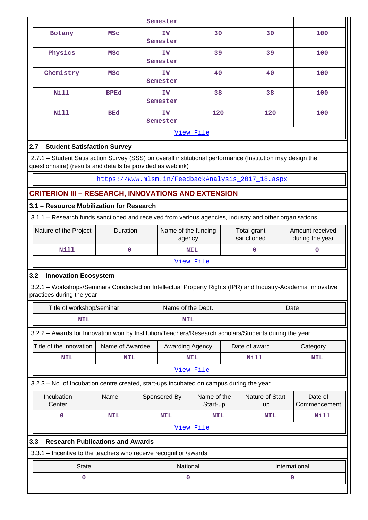|           |             | Semester       |     |     |     |  |  |  |  |
|-----------|-------------|----------------|-----|-----|-----|--|--|--|--|
| Botany    | <b>MSC</b>  | IV<br>Semester | 30  | 30  | 100 |  |  |  |  |
| Physics   | <b>MSC</b>  | IV<br>Semester | 39  | 39  |     |  |  |  |  |
| Chemistry | <b>MSC</b>  | IV<br>Semester |     | 40  | 100 |  |  |  |  |
| Nill      | <b>BPEd</b> | IV<br>Semester | 38  | 38  | 100 |  |  |  |  |
| Nill      | <b>BEd</b>  | IV<br>Semester | 120 | 120 | 100 |  |  |  |  |
| View File |             |                |     |     |     |  |  |  |  |

## **2.7 – Student Satisfaction Survey**

 2.7.1 – Student Satisfaction Survey (SSS) on overall institutional performance (Institution may design the questionnaire) (results and details be provided as weblink)

[https://www.mlsm.in/FeedbackAnalysis\\_2017\\_18.aspx](https://www.mlsm.in/FeedbackAnalysis_2017_18.aspx) 

## **CRITERION III – RESEARCH, INNOVATIONS AND EXTENSION**

## **3.1 – Resource Mobilization for Research**

3.1.1 – Research funds sanctioned and received from various agencies, industry and other organisations

| Nature of the Project | <b>Duration</b> | Name of the funding<br>agency | Total grant<br>sanctioned | Amount received<br>during the year |  |  |
|-----------------------|-----------------|-------------------------------|---------------------------|------------------------------------|--|--|
| Nill                  |                 | <b>NIL</b>                    |                           |                                    |  |  |
|                       |                 | View File                     |                           |                                    |  |  |

## **3.2 – Innovation Ecosystem**

 3.2.1 – Workshops/Seminars Conducted on Intellectual Property Rights (IPR) and Industry-Academia Innovative practices during the year

| Title of workshop/seminar                                                                            |                 | Name of the Dept. |                             |            |               | Date                          |          |                         |  |
|------------------------------------------------------------------------------------------------------|-----------------|-------------------|-----------------------------|------------|---------------|-------------------------------|----------|-------------------------|--|
| <b>NIL</b>                                                                                           |                 | <b>NIL</b>        |                             |            |               |                               |          |                         |  |
| 3.2.2 - Awards for Innovation won by Institution/Teachers/Research scholars/Students during the year |                 |                   |                             |            |               |                               |          |                         |  |
| Title of the innovation                                                                              | Name of Awardee | Awarding Agency   |                             |            | Date of award |                               | Category |                         |  |
| <b>NIL</b>                                                                                           | <b>NIL</b>      |                   |                             | <b>NIL</b> |               | Nill                          |          | <b>NIL</b>              |  |
| View File                                                                                            |                 |                   |                             |            |               |                               |          |                         |  |
| 3.2.3 – No. of Incubation centre created, start-ups incubated on campus during the year              |                 |                   |                             |            |               |                               |          |                         |  |
| Incubation<br>Center                                                                                 | Name            |                   | Sponsered By<br>Name of the |            | Start-up      | Nature of Start-<br><b>up</b> |          | Date of<br>Commencement |  |
| 0                                                                                                    | <b>NIL</b>      |                   | <b>NIL</b>                  | <b>NIL</b> |               | <b>NIL</b>                    |          | Nill                    |  |
|                                                                                                      |                 |                   |                             | View File  |               |                               |          |                         |  |
| 3.3 – Research Publications and Awards                                                               |                 |                   |                             |            |               |                               |          |                         |  |
| 3.3.1 – Incentive to the teachers who receive recognition/awards                                     |                 |                   |                             |            |               |                               |          |                         |  |
| <b>State</b>                                                                                         |                 |                   | National                    |            |               |                               |          | International           |  |
| 0                                                                                                    |                 |                   | 0                           |            |               |                               | 0        |                         |  |
|                                                                                                      |                 |                   |                             |            |               |                               |          |                         |  |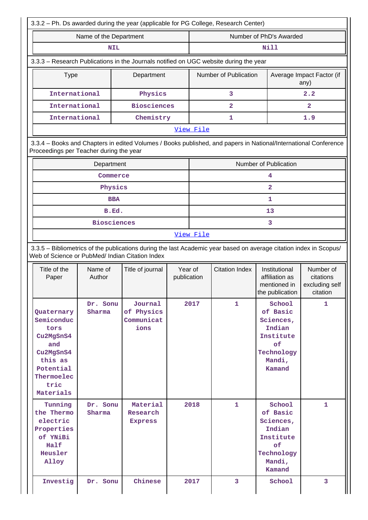| 3.3.2 - Ph. Ds awarded during the year (applicable for PG College, Research Center)                                                                   |                                                                                           |                                                                                                                 |                        |                         |                              |                                                                                                                      |                                                      |  |  |  |  |
|-------------------------------------------------------------------------------------------------------------------------------------------------------|-------------------------------------------------------------------------------------------|-----------------------------------------------------------------------------------------------------------------|------------------------|-------------------------|------------------------------|----------------------------------------------------------------------------------------------------------------------|------------------------------------------------------|--|--|--|--|
|                                                                                                                                                       | Name of the Department                                                                    |                                                                                                                 |                        | Number of PhD's Awarded |                              |                                                                                                                      |                                                      |  |  |  |  |
|                                                                                                                                                       | <b>NIL</b>                                                                                |                                                                                                                 |                        |                         |                              | Nill                                                                                                                 |                                                      |  |  |  |  |
|                                                                                                                                                       |                                                                                           | 3.3.3 - Research Publications in the Journals notified on UGC website during the year                           |                        |                         |                              |                                                                                                                      |                                                      |  |  |  |  |
| <b>Type</b>                                                                                                                                           |                                                                                           | Department                                                                                                      |                        |                         | Number of Publication        |                                                                                                                      | Average Impact Factor (if<br>any)                    |  |  |  |  |
| International                                                                                                                                         |                                                                                           | Physics                                                                                                         |                        |                         | 3                            |                                                                                                                      | 2.2                                                  |  |  |  |  |
| International                                                                                                                                         |                                                                                           | <b>Biosciences</b>                                                                                              |                        |                         | 2                            |                                                                                                                      | $\overline{2}$                                       |  |  |  |  |
| International                                                                                                                                         |                                                                                           | Chemistry                                                                                                       |                        | 1.9<br>1                |                              |                                                                                                                      |                                                      |  |  |  |  |
| Proceedings per Teacher during the year                                                                                                               |                                                                                           | 3.3.4 - Books and Chapters in edited Volumes / Books published, and papers in National/International Conference |                        | View File               |                              |                                                                                                                      |                                                      |  |  |  |  |
|                                                                                                                                                       | Department                                                                                |                                                                                                                 |                        |                         |                              | Number of Publication                                                                                                |                                                      |  |  |  |  |
|                                                                                                                                                       | Commerce                                                                                  |                                                                                                                 |                        |                         |                              | 4                                                                                                                    |                                                      |  |  |  |  |
|                                                                                                                                                       | Physics                                                                                   |                                                                                                                 |                        |                         |                              | $\mathbf{2}$                                                                                                         |                                                      |  |  |  |  |
|                                                                                                                                                       | <b>BBA</b>                                                                                |                                                                                                                 |                        |                         |                              | 1                                                                                                                    |                                                      |  |  |  |  |
|                                                                                                                                                       | B.Ed.                                                                                     |                                                                                                                 |                        |                         |                              | 13                                                                                                                   |                                                      |  |  |  |  |
|                                                                                                                                                       | <b>Biosciences</b>                                                                        |                                                                                                                 |                        | 3<br>View File          |                              |                                                                                                                      |                                                      |  |  |  |  |
| Web of Science or PubMed/ Indian Citation Index<br>Title of the<br>Paper                                                                              | Name of<br>Author                                                                         | Title of journal                                                                                                | Year of<br>publication | <b>Citation Index</b>   |                              | Institutional<br>affiliation as<br>mentioned in<br>the publication                                                   | Number of<br>citations<br>excluding self<br>citation |  |  |  |  |
| Quaternary<br>Semiconduc<br>tors<br>Cu2MgSnS4<br>and<br>Cu2MgSnS4<br>this as<br>Potential<br>Thermoelec<br>tric<br>Materials<br>Tunning<br>the Thermo | Dr. Sonu<br>Sharma<br>Dr. Sonu<br>Sharma                                                  | Journal<br>of Physics<br>Communicat<br>ions<br>Material<br>Research                                             | 2017<br>2018           |                         | $\mathbf{1}$<br>$\mathbf{1}$ | School<br>of Basic<br>Sciences,<br>Indian<br>Institute<br>of<br>Technology<br>Mandi,<br>Kamand<br>School<br>of Basic | $\mathbf{1}$<br>$\mathbf{1}$                         |  |  |  |  |
| electric<br>Properties                                                                                                                                | <b>Express</b><br>of YNiBi<br>Half<br>Heusler<br>Alloy<br>Investig<br>Chinese<br>Dr. Sonu |                                                                                                                 |                        |                         |                              | Sciences,<br>Indian<br>Institute                                                                                     |                                                      |  |  |  |  |
|                                                                                                                                                       |                                                                                           |                                                                                                                 |                        | 2017                    | 3                            | of<br>Technology<br>Mandi,<br>Kamand<br>School                                                                       | 3                                                    |  |  |  |  |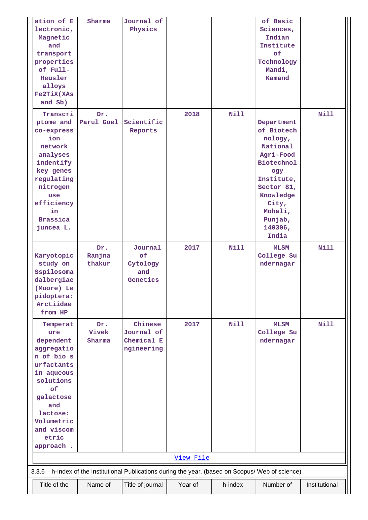| ation of E<br>lectronic,<br>Magnetic<br>and<br>transport<br>properties<br>of Full-<br>Heusler<br>alloys<br><b>Fe2TiX(XAs</b><br>and Sb)                                                   | Sharma                  | Journal of<br>Physics                             |           |             | of Basic<br>Sciences,<br>Indian<br>Institute<br>of<br>Technology<br>Mandi,<br>Kamand                                                                                                 |               |
|-------------------------------------------------------------------------------------------------------------------------------------------------------------------------------------------|-------------------------|---------------------------------------------------|-----------|-------------|--------------------------------------------------------------------------------------------------------------------------------------------------------------------------------------|---------------|
| Transcri<br>ptome and<br>co-express<br>ion<br>network<br>analyses<br>indentify<br>key genes<br>regulating<br>nitrogen<br>use<br>efficiency<br>in<br><b>Brassica</b><br>juncea L.          | Dr.<br>Parul Goel       | Scientific<br>Reports                             | 2018      | <b>Nill</b> | Department<br>of Biotech<br>nology,<br>National<br>Agri-Food<br><b>Biotechnol</b><br>ogy<br>Institute,<br>Sector 81,<br>Knowledge<br>City,<br>Mohali,<br>Punjab,<br>140306,<br>India | <b>Nill</b>   |
| Karyotopic<br>study on<br>Sspilosoma<br>dalbergiae<br>(Moore) Le<br>pidoptera:<br>Arctiidae<br>from HP                                                                                    | Dr.<br>Ranjna<br>thakur | Journal<br>of<br>Cytology<br>and<br>Genetics      | 2017      | <b>Nill</b> | <b>MLSM</b><br>College Su<br>ndernagar                                                                                                                                               | <b>Nill</b>   |
| Temperat<br>ure<br>dependent<br>aggregatio<br>n of bio s<br>urfactants<br>in aqueous<br>solutions<br>of<br>galactose<br>and<br>lactose:<br>Volumetric<br>and viscom<br>etric<br>approach. | Dr.<br>Vivek<br>Sharma  | Chinese<br>Journal of<br>Chemical E<br>ngineering | 2017      | Nill        | <b>MLSM</b><br>College Su<br>ndernagar                                                                                                                                               | <b>Nill</b>   |
|                                                                                                                                                                                           |                         |                                                   | View File |             |                                                                                                                                                                                      |               |
| 3.3.6 - h-Index of the Institutional Publications during the year. (based on Scopus/ Web of science)                                                                                      |                         |                                                   |           |             |                                                                                                                                                                                      |               |
| Title of the                                                                                                                                                                              | Name of                 | Title of journal                                  | Year of   | h-index     | Number of                                                                                                                                                                            | Institutional |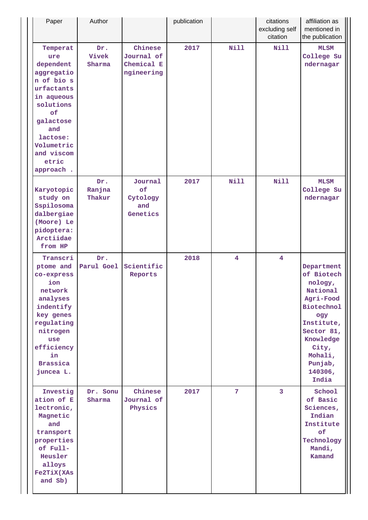| Paper                                                                                                                                                                                     | Author                  |                                                   | publication |             | citations<br>excluding self<br>citation | affiliation as<br>mentioned in<br>the publication                                                                                                                                    |
|-------------------------------------------------------------------------------------------------------------------------------------------------------------------------------------------|-------------------------|---------------------------------------------------|-------------|-------------|-----------------------------------------|--------------------------------------------------------------------------------------------------------------------------------------------------------------------------------------|
| Temperat<br>ure<br>dependent<br>aggregatio<br>n of bio s<br>urfactants<br>in aqueous<br>solutions<br>of<br>galactose<br>and<br>lactose:<br>Volumetric<br>and viscom<br>etric<br>approach. | Dr.<br>Vivek<br>Sharma  | Chinese<br>Journal of<br>Chemical E<br>ngineering | 2017        | <b>Nill</b> | <b>Nill</b>                             | <b>MLSM</b><br>College Su<br>ndernagar                                                                                                                                               |
| Karyotopic<br>study on<br>Sspilosoma<br>dalbergiae<br>(Moore) Le<br>pidoptera:<br>Arctiidae<br>from HP                                                                                    | Dr.<br>Ranjna<br>Thakur | Journal<br>of<br>Cytology<br>and<br>Genetics      | 2017        | <b>Nill</b> | Nill                                    | <b>MLSM</b><br>College Su<br>ndernagar                                                                                                                                               |
| Transcri<br>ptome and<br>co-express<br>ion<br>network<br>analyses<br>indentify<br>key genes<br>regulating<br>nitrogen<br>use<br>efficiency<br>in<br><b>Brassica</b><br>juncea L.          | Dr.<br>Parul Goel       | Scientific<br>Reports                             | 2018        | 4           | 4                                       | Department<br>of Biotech<br>nology,<br>National<br>Agri-Food<br><b>Biotechnol</b><br>ogy<br>Institute,<br>Sector 81,<br>Knowledge<br>City,<br>Mohali,<br>Punjab,<br>140306,<br>India |
| Investig<br>ation of E<br>lectronic,<br>Magnetic<br>and<br>transport<br>properties<br>of Full-<br>Heusler<br>alloys<br><b>Fe2TiX(XAs</b><br>and Sb)                                       | Dr. Sonu<br>Sharma      | Chinese<br>Journal of<br>Physics                  | 2017        | 7           | 3                                       | School<br>of Basic<br>Sciences,<br>Indian<br>Institute<br>of<br>Technology<br>Mandi,<br>Kamand                                                                                       |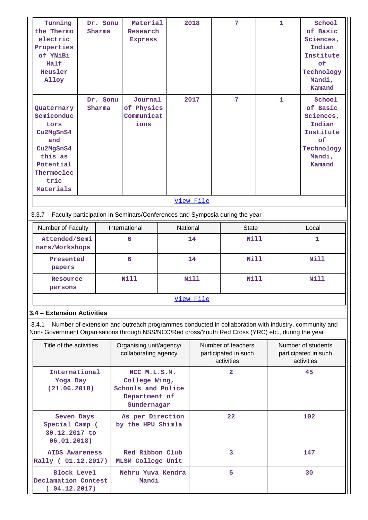| Tunning<br>the Thermo<br>electric<br>Properties<br>of YNiBi<br>Half<br>Heusler<br>Alloy                                                                                                                            | Dr. Sonu<br>Sharma | Material<br>Research<br><b>Express</b>                                              |          | 2018        | 7                                                        | $\mathbf{1}$ |                                                          | School<br>of Basic<br>Sciences,<br>Indian<br>Institute<br>of<br>Technology<br>Mandi,<br>Kamand |  |  |  |
|--------------------------------------------------------------------------------------------------------------------------------------------------------------------------------------------------------------------|--------------------|-------------------------------------------------------------------------------------|----------|-------------|----------------------------------------------------------|--------------|----------------------------------------------------------|------------------------------------------------------------------------------------------------|--|--|--|
| Dr. Sonu<br>Quaternary<br>Sharma<br>Semiconduc<br>tors<br>Cu2MgSnS4<br>and<br>Cu2MgSnS4<br>this as<br>Potential<br>Thermoelec<br>tric<br>Materials                                                                 |                    | Journal<br>of Physics<br>Communicat<br>ions                                         |          | 2017        | 7                                                        | 1            |                                                          | School<br>of Basic<br>Sciences,<br>Indian<br>Institute<br>of<br>Technology<br>Mandi,<br>Kamand |  |  |  |
|                                                                                                                                                                                                                    | View File          |                                                                                     |          |             |                                                          |              |                                                          |                                                                                                |  |  |  |
| 3.3.7 - Faculty participation in Seminars/Conferences and Symposia during the year:                                                                                                                                |                    |                                                                                     |          |             |                                                          |              |                                                          |                                                                                                |  |  |  |
| Number of Faculty                                                                                                                                                                                                  |                    | International                                                                       | National |             | <b>State</b>                                             |              |                                                          | Local                                                                                          |  |  |  |
| Attended/Semi<br>nars/Workshops                                                                                                                                                                                    |                    | 6                                                                                   |          | 14          |                                                          | Nill         |                                                          | 1                                                                                              |  |  |  |
| Presented<br>papers                                                                                                                                                                                                |                    | 6                                                                                   |          | 14          | <b>Nill</b>                                              |              |                                                          | <b>Nill</b>                                                                                    |  |  |  |
| Resource<br>persons                                                                                                                                                                                                |                    | <b>Nill</b>                                                                         |          | <b>Nill</b> | <b>Nill</b>                                              |              |                                                          | Nill                                                                                           |  |  |  |
|                                                                                                                                                                                                                    |                    |                                                                                     |          | View File   |                                                          |              |                                                          |                                                                                                |  |  |  |
| 3.4 - Extension Activities                                                                                                                                                                                         |                    |                                                                                     |          |             |                                                          |              |                                                          |                                                                                                |  |  |  |
| 3.4.1 – Number of extension and outreach programmes conducted in collaboration with industry, community and<br>Non- Government Organisations through NSS/NCC/Red cross/Youth Red Cross (YRC) etc., during the year |                    |                                                                                     |          |             |                                                          |              |                                                          |                                                                                                |  |  |  |
| Title of the activities                                                                                                                                                                                            |                    | Organising unit/agency/<br>collaborating agency                                     |          |             | Number of teachers<br>participated in such<br>activities |              | Number of students<br>participated in such<br>activities |                                                                                                |  |  |  |
| International<br>Yoga Day<br>(21.06.2018)                                                                                                                                                                          |                    | NCC M.L.S.M.<br>College Wing,<br>Schools and Police<br>Department of<br>Sundernagar |          |             | $\overline{2}$                                           |              | 45                                                       |                                                                                                |  |  |  |
| Seven Days<br>Special Camp (<br>30.12.2017 to<br>06.01.2018)                                                                                                                                                       |                    | As per Direction<br>by the HPU Shimla                                               |          |             | 22                                                       |              | 102                                                      |                                                                                                |  |  |  |
| <b>AIDS Awareness</b><br>Rally ( 01.12.2017)                                                                                                                                                                       |                    | Red Ribbon Club<br><b>MLSM College Unit</b>                                         |          |             | 3                                                        |              |                                                          | 147                                                                                            |  |  |  |
| <b>Block Level</b><br>Declamation Contest<br>(04.12.2017)                                                                                                                                                          |                    | Nehru Yuva Kendra<br>Mandi                                                          |          |             | 5                                                        |              | 30                                                       |                                                                                                |  |  |  |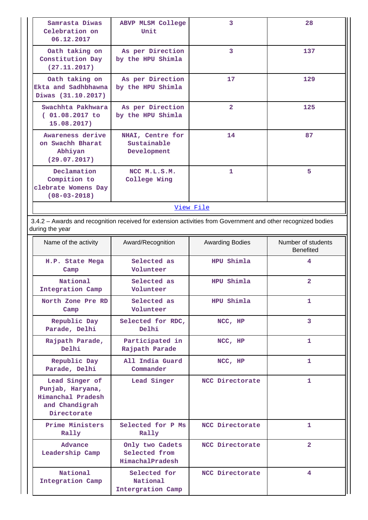| Samrasta Diwas<br>Celebration on<br>06.12.2017                           | <b>ABVP MLSM College</b><br>Unit               | 3              | 28  |  |  |  |  |  |
|--------------------------------------------------------------------------|------------------------------------------------|----------------|-----|--|--|--|--|--|
| Oath taking on<br>Constitution Day<br>(27.11.2017)                       | As per Direction<br>by the HPU Shimla          | 3              | 137 |  |  |  |  |  |
| Oath taking on<br>Ekta and Sadhbhawna<br>Diwas (31.10.2017)              | As per Direction<br>by the HPU Shimla          | 17             | 129 |  |  |  |  |  |
| Swachhta Pakhwara<br>$(01.08.2017$ to<br>15.08.2017)                     | As per Direction<br>by the HPU Shimla          | $\overline{2}$ | 125 |  |  |  |  |  |
| Awareness derive<br>on Swachh Bharat<br>Abhiyan<br>(29.07.2017)          | NHAI, Centre for<br>Sustainable<br>Development | 14             | 87  |  |  |  |  |  |
| Declamation<br>Compition to<br>clebrate Womens Day<br>$(08 - 03 - 2018)$ | NCC M.L.S.M.<br>College Wing                   | 1              | 5.  |  |  |  |  |  |
| View File                                                                |                                                |                |     |  |  |  |  |  |

 3.4.2 – Awards and recognition received for extension activities from Government and other recognized bodies during the year

| Name of the activity                                                                     | Award/Recognition                                   | <b>Awarding Bodies</b> | Number of students<br><b>Benefited</b> |
|------------------------------------------------------------------------------------------|-----------------------------------------------------|------------------------|----------------------------------------|
| H.P. State Mega<br>Camp                                                                  | Selected as<br>Volunteer                            | HPU Shimla             | 4                                      |
| National<br>Integration Camp                                                             | Selected as<br>Volunteer                            | HPU Shimla             | $\overline{2}$                         |
| North Zone Pre RD<br>Camp                                                                | Selected as<br>Volunteer                            | HPU Shimla             | 1                                      |
| Republic Day<br>Parade, Delhi                                                            | Selected for RDC,<br>Delhi                          | NCC, HP                | 3                                      |
| Participated in<br>Rajpath Parade,<br>Delhi<br>Rajpath Parade                            |                                                     | NCC, HP                | 1                                      |
| Republic Day<br>Parade, Delhi                                                            | All India Guard<br>Commander                        | NCC, HP                | $\mathbf{1}$                           |
| Lead Singer of<br>Punjab, Haryana,<br>Himanchal Pradesh<br>and Chandigrah<br>Directorate | Lead Singer                                         | NCC Directorate        | 1                                      |
| Prime Ministers<br>Rally                                                                 | Selected for P Ms<br>Rally                          | NCC Directorate        | 1                                      |
| Advance<br>Leadership Camp                                                               | Only two Cadets<br>Selected from<br>HimachalPradesh | NCC Directorate        | $\overline{2}$                         |
| National<br>Integration Camp                                                             | Selected for<br>National<br>Intergration Camp       | NCC Directorate        | 4                                      |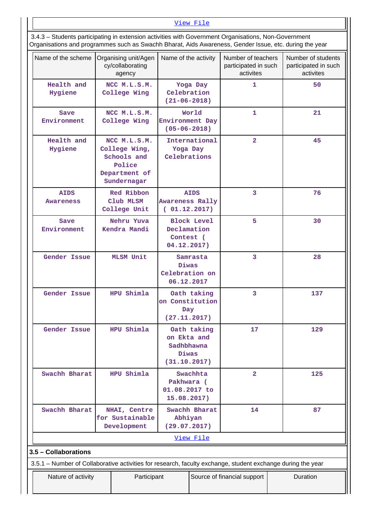### [View File](https://assessmentonline.naac.gov.in/public/Postacc/Awards_for_extension/5245_Awards_for_extension_1625565457.xlsx)

 3.4.3 – Students participating in extension activities with Government Organisations, Non-Government Organisations and programmes such as Swachh Bharat, Aids Awareness, Gender Issue, etc. during the year

| Name of the scheme          | Organising unit/Agen<br>cy/collaborating<br>agency                                                          | Name of the activity                               |                    | Number of teachers<br>participated in such<br>activites | Number of students<br>participated in such<br>activites |  |  |  |  |
|-----------------------------|-------------------------------------------------------------------------------------------------------------|----------------------------------------------------|--------------------|---------------------------------------------------------|---------------------------------------------------------|--|--|--|--|
| Health and<br>Hygiene       | NCC M.L.S.M.<br>College Wing                                                                                | Celebration<br>$(21 - 06 - 2018)$                  | Yoga Day           | 1                                                       | 50                                                      |  |  |  |  |
| Save<br>Environment         | NCC M.L.S.M.<br>College Wing                                                                                | Environment Day<br>$(05 - 06 - 2018)$              | World              | $\mathbf{1}$                                            | 21                                                      |  |  |  |  |
| Health and<br>Hygiene       | NCC M.L.S.M.<br>College Wing,<br>Schools and<br>Police<br>Department of<br>Sundernagar                      | International<br>Yoga Day<br>Celebrations          |                    | $\overline{\mathbf{2}}$                                 | 45                                                      |  |  |  |  |
| <b>AIDS</b><br>Awareness    | Red Ribbon<br>Club MLSM<br>College Unit                                                                     | <b>Awareness Rally</b><br>(01.12.2017)             | <b>AIDS</b>        | 3                                                       | 76                                                      |  |  |  |  |
| Save<br>Environment         | Nehru Yuva<br>Kendra Mandi                                                                                  | Declamation<br>Contest (<br>04.12.2017)            | <b>Block Level</b> | 5                                                       | 30                                                      |  |  |  |  |
| Gender Issue                | <b>MLSM Unit</b>                                                                                            | Diwas<br>Celebration on<br>06.12.2017              | Samrasta           | 3                                                       | 28                                                      |  |  |  |  |
| Gender Issue                | HPU Shimla                                                                                                  | on Constitution<br>Day<br>(27.11.2017)             | Oath taking        | 3                                                       | 137                                                     |  |  |  |  |
| <b>Gender Issue</b>         | HPU Shimla                                                                                                  | on Ekta and<br>Sadhbhawna<br>Diwas<br>(31.10.2017) | Oath taking        | 17                                                      | 129                                                     |  |  |  |  |
| Swachh Bharat<br>HPU Shimla |                                                                                                             | Pakhwara (<br>01.08.2017 to<br>15.08.2017)         | Swachhta           | $\overline{2}$                                          | 125                                                     |  |  |  |  |
| Swachh Bharat               | NHAI, Centre<br>for Sustainable<br>Development                                                              | Abhiyan<br>(29.07.2017)                            | Swachh Bharat      | 14                                                      | 87                                                      |  |  |  |  |
|                             |                                                                                                             |                                                    | View File          |                                                         |                                                         |  |  |  |  |
| 3.5 - Collaborations        |                                                                                                             |                                                    |                    |                                                         |                                                         |  |  |  |  |
|                             | 3.5.1 - Number of Collaborative activities for research, faculty exchange, student exchange during the year |                                                    |                    |                                                         |                                                         |  |  |  |  |
| Nature of activity          | Participant                                                                                                 |                                                    |                    | Source of financial support                             | Duration                                                |  |  |  |  |

 $\overline{\phantom{a}}$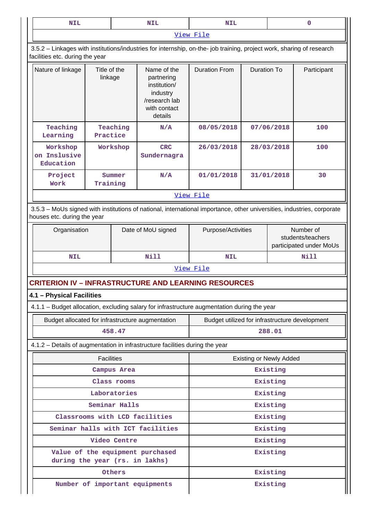| <b>NIL</b>                                                                                                                                            |                         |                    | <b>NIL</b>                                                                                                            | <b>NIL</b>                                                                                  | $\mathbf 0$        |                                                           |             |  |  |
|-------------------------------------------------------------------------------------------------------------------------------------------------------|-------------------------|--------------------|-----------------------------------------------------------------------------------------------------------------------|---------------------------------------------------------------------------------------------|--------------------|-----------------------------------------------------------|-------------|--|--|
|                                                                                                                                                       |                         |                    |                                                                                                                       | View File                                                                                   |                    |                                                           |             |  |  |
| facilities etc. during the year                                                                                                                       |                         |                    | 3.5.2 - Linkages with institutions/industries for internship, on-the- job training, project work, sharing of research |                                                                                             |                    |                                                           |             |  |  |
| Nature of linkage                                                                                                                                     | Title of the<br>linkage |                    | Name of the<br>partnering<br>institution/<br>industry<br>/research lab<br>with contact<br>details                     | <b>Duration From</b>                                                                        | <b>Duration To</b> |                                                           | Participant |  |  |
| Teaching<br>Learning                                                                                                                                  | Practice                | Teaching           | N/A                                                                                                                   | 08/05/2018                                                                                  |                    | 07/06/2018                                                | 100         |  |  |
| Workshop<br>Workshop<br>on Inslusive<br>Education                                                                                                     |                         |                    | <b>CRC</b><br>Sundernagra                                                                                             | 26/03/2018                                                                                  |                    | 28/03/2018                                                | 100         |  |  |
| Project<br>Summer<br>Training<br>Work                                                                                                                 |                         |                    | N/A                                                                                                                   | 01/01/2018                                                                                  |                    | 31/01/2018                                                | 30          |  |  |
|                                                                                                                                                       |                         |                    |                                                                                                                       | View File                                                                                   |                    |                                                           |             |  |  |
| 3.5.3 - MoUs signed with institutions of national, international importance, other universities, industries, corporate<br>houses etc. during the year |                         |                    |                                                                                                                       |                                                                                             |                    |                                                           |             |  |  |
| Organisation                                                                                                                                          |                         | Date of MoU signed | Purpose/Activities                                                                                                    |                                                                                             |                    | Number of<br>students/teachers<br>participated under MoUs |             |  |  |
| NIL                                                                                                                                                   |                         |                    | <b>Nill</b>                                                                                                           | <b>NIL</b>                                                                                  |                    |                                                           | <b>Nill</b> |  |  |
|                                                                                                                                                       |                         |                    |                                                                                                                       | View File                                                                                   |                    |                                                           |             |  |  |
|                                                                                                                                                       |                         |                    | <b>CRITERION IV – INFRASTRUCTURE AND LEARNING RESOURCES</b>                                                           |                                                                                             |                    |                                                           |             |  |  |
| 4.1 - Physical Facilities                                                                                                                             |                         |                    |                                                                                                                       |                                                                                             |                    |                                                           |             |  |  |
|                                                                                                                                                       |                         |                    |                                                                                                                       | 4.1.1 - Budget allocation, excluding salary for infrastructure augmentation during the year |                    |                                                           |             |  |  |
| Budget allocated for infrastructure augmentation                                                                                                      |                         |                    |                                                                                                                       | Budget utilized for infrastructure development                                              |                    |                                                           |             |  |  |
|                                                                                                                                                       |                         | 458.47             |                                                                                                                       | 288.01                                                                                      |                    |                                                           |             |  |  |
|                                                                                                                                                       |                         |                    | 4.1.2 - Details of augmentation in infrastructure facilities during the year                                          |                                                                                             |                    |                                                           |             |  |  |
|                                                                                                                                                       | <b>Facilities</b>       |                    |                                                                                                                       |                                                                                             |                    | <b>Existing or Newly Added</b>                            |             |  |  |
|                                                                                                                                                       |                         | Campus Area        |                                                                                                                       |                                                                                             |                    | Existing                                                  |             |  |  |
|                                                                                                                                                       |                         | Class rooms        |                                                                                                                       |                                                                                             |                    | Existing                                                  |             |  |  |
|                                                                                                                                                       |                         | Laboratories       |                                                                                                                       |                                                                                             |                    | Existing                                                  |             |  |  |
| Seminar Halls                                                                                                                                         |                         |                    |                                                                                                                       |                                                                                             |                    | Existing                                                  |             |  |  |
|                                                                                                                                                       |                         |                    | Classrooms with LCD facilities                                                                                        |                                                                                             |                    | Existing                                                  |             |  |  |
|                                                                                                                                                       |                         |                    | Seminar halls with ICT facilities                                                                                     |                                                                                             |                    | Existing                                                  |             |  |  |
|                                                                                                                                                       |                         | Video Centre       |                                                                                                                       |                                                                                             |                    | Existing                                                  |             |  |  |
| during the year (rs. in lakhs)                                                                                                                        |                         |                    | Value of the equipment purchased                                                                                      |                                                                                             |                    | Existing                                                  |             |  |  |
|                                                                                                                                                       |                         | Others             |                                                                                                                       |                                                                                             |                    | Existing                                                  |             |  |  |
|                                                                                                                                                       |                         |                    | Number of important equipments                                                                                        |                                                                                             |                    | Existing                                                  |             |  |  |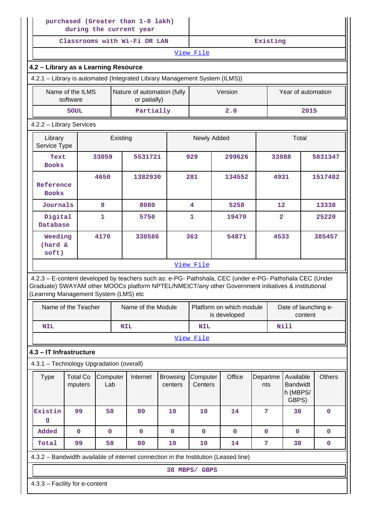|                      | purchased (Greater than 1-0 lakh)<br>during the current year                                                                                                                                                                                            |                 |            |                             |                            |                                          |             |                 |                                 |                                                   |       |               |
|----------------------|---------------------------------------------------------------------------------------------------------------------------------------------------------------------------------------------------------------------------------------------------------|-----------------|------------|-----------------------------|----------------------------|------------------------------------------|-------------|-----------------|---------------------------------|---------------------------------------------------|-------|---------------|
|                      | Classrooms with Wi-Fi OR LAN                                                                                                                                                                                                                            |                 |            |                             |                            |                                          |             | Existing        |                                 |                                                   |       |               |
|                      |                                                                                                                                                                                                                                                         |                 |            |                             |                            | View File                                |             |                 |                                 |                                                   |       |               |
|                      | 4.2 - Library as a Learning Resource                                                                                                                                                                                                                    |                 |            |                             |                            |                                          |             |                 |                                 |                                                   |       |               |
|                      | 4.2.1 - Library is automated {Integrated Library Management System (ILMS)}                                                                                                                                                                              |                 |            |                             |                            |                                          |             |                 |                                 |                                                   |       |               |
|                      | Name of the ILMS                                                                                                                                                                                                                                        |                 |            | Nature of automation (fully |                            |                                          | Version     |                 |                                 | Year of automation                                |       |               |
|                      | software                                                                                                                                                                                                                                                |                 |            | or patially)                |                            |                                          |             |                 |                                 |                                                   |       |               |
|                      | <b>SOUL</b>                                                                                                                                                                                                                                             |                 |            | Partially                   |                            |                                          | 2.0         |                 |                                 |                                                   | 2015  |               |
|                      | 4.2.2 - Library Services                                                                                                                                                                                                                                |                 |            |                             |                            |                                          |             |                 |                                 |                                                   |       |               |
|                      | Library<br>Existing<br>Service Type                                                                                                                                                                                                                     |                 |            |                             |                            | Newly Added                              |             |                 |                                 | Total                                             |       |               |
| Text<br><b>Books</b> |                                                                                                                                                                                                                                                         | 33059           |            | 5531721                     |                            | 929                                      | 299626      |                 | 33988                           |                                                   |       | 5831347       |
|                      | 4650<br>Reference<br><b>Books</b>                                                                                                                                                                                                                       |                 |            | 1382930                     |                            | 281                                      | 134552      |                 | 4931                            |                                                   |       | 1517482       |
|                      | Journals<br>8                                                                                                                                                                                                                                           |                 |            | 8080                        |                            | 4                                        | 5258        |                 | 12                              |                                                   |       | 13338         |
| Digital<br>Database  |                                                                                                                                                                                                                                                         | $\mathbf{1}$    |            | 5750                        |                            | $\mathbf{1}$                             | 19470       |                 | $\overline{2}$                  |                                                   | 25220 |               |
|                      | 4170<br>Weeding<br>(hard &<br>soft)                                                                                                                                                                                                                     |                 |            | 330586                      |                            | 363                                      | 54871       |                 | 4533                            |                                                   |       | 385457        |
|                      |                                                                                                                                                                                                                                                         |                 |            |                             |                            | View File                                |             |                 |                                 |                                                   |       |               |
|                      | 4.2.3 - E-content developed by teachers such as: e-PG- Pathshala, CEC (under e-PG- Pathshala CEC (Under<br>Graduate) SWAYAM other MOOCs platform NPTEL/NMEICT/any other Government initiatives & institutional<br>(Learning Management System (LMS) etc |                 |            |                             |                            |                                          |             |                 |                                 |                                                   |       |               |
|                      | Name of the Teacher                                                                                                                                                                                                                                     |                 |            | Name of the Module          |                            | Platform on which module<br>is developed |             |                 | Date of launching e-<br>content |                                                   |       |               |
| <b>NIL</b>           |                                                                                                                                                                                                                                                         |                 | <b>NIL</b> |                             |                            | <b>NIL</b>                               |             |                 | <b>Nill</b>                     |                                                   |       |               |
|                      |                                                                                                                                                                                                                                                         |                 |            |                             |                            | View File                                |             |                 |                                 |                                                   |       |               |
|                      | 4.3 - IT Infrastructure                                                                                                                                                                                                                                 |                 |            |                             |                            |                                          |             |                 |                                 |                                                   |       |               |
|                      | 4.3.1 - Technology Upgradation (overall)                                                                                                                                                                                                                |                 |            |                             |                            |                                          |             |                 |                                 |                                                   |       |               |
| <b>Type</b>          | <b>Total Co</b><br>mputers                                                                                                                                                                                                                              | Computer<br>Lab |            | Internet                    | <b>Browsing</b><br>centers | Computer<br>Centers                      | Office      | Departme<br>nts |                                 | Available<br><b>Bandwidt</b><br>h (MBPS/<br>GBPS) |       | <b>Others</b> |
| Existin<br>g         | 99                                                                                                                                                                                                                                                      | 58              |            | 80                          | 10                         | 10                                       | 14          | 7               |                                 | 38                                                |       | $\mathbf 0$   |
| Added                | $\mathbf 0$                                                                                                                                                                                                                                             | $\mathbf 0$     |            | $\mathbf 0$                 | $\mathbf 0$                | $\mathbf 0$                              | $\mathbf 0$ | $\mathbf 0$     |                                 | $\mathbf 0$                                       |       | $\mathbf 0$   |
| Total                | 99                                                                                                                                                                                                                                                      | 58              |            | 80                          | 10                         | 10                                       | 14          | 7               |                                 | 38                                                |       | 0             |
|                      | 4.3.2 - Bandwidth available of internet connection in the Institution (Leased line)                                                                                                                                                                     |                 |            |                             |                            |                                          |             |                 |                                 |                                                   |       |               |
|                      |                                                                                                                                                                                                                                                         |                 |            |                             |                            | 38 MBPS/ GBPS                            |             |                 |                                 |                                                   |       |               |
|                      | 4.3.3 - Facility for e-content                                                                                                                                                                                                                          |                 |            |                             |                            |                                          |             |                 |                                 |                                                   |       |               |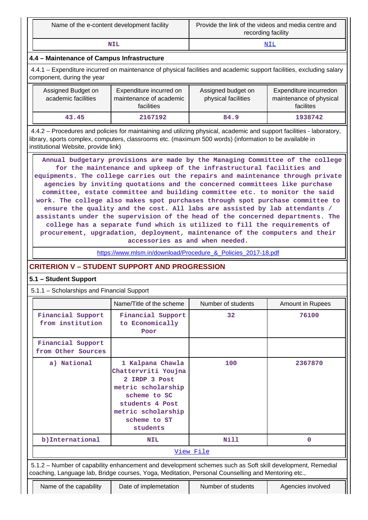| Name of the e-content development facility | Provide the link of the videos and media centre and<br>recording facility |
|--------------------------------------------|---------------------------------------------------------------------------|
| NIL                                        |                                                                           |

## **4.4 – Maintenance of Campus Infrastructure**

 4.4.1 – Expenditure incurred on maintenance of physical facilities and academic support facilities, excluding salary component, during the year

| Assigned Budget on<br>academic facilities | Expenditure incurred on<br>maintenance of academic<br>facilities | Assigned budget on<br>physical facilities | Expenditure incurredon<br>maintenance of physical<br>facilites |
|-------------------------------------------|------------------------------------------------------------------|-------------------------------------------|----------------------------------------------------------------|
| 43.45                                     | 2167192                                                          | 84.9                                      | 1938742                                                        |

 4.4.2 – Procedures and policies for maintaining and utilizing physical, academic and support facilities - laboratory, library, sports complex, computers, classrooms etc. (maximum 500 words) (information to be available in institutional Website, provide link)

 **Annual budgetary provisions are made by the Managing Committee of the college for the maintenance and upkeep of the infrastructural facilities and equipments. The college carries out the repairs and maintenance through private agencies by inviting quotations and the concerned committees like purchase committee, estate committee and building committee etc. to monitor the said work. The college also makes spot purchases through spot purchase committee to ensure the quality and the cost. All labs are assisted by lab attendants / assistants under the supervision of the head of the concerned departments. The college has a separate fund which is utilized to fill the requirements of procurement, upgradation, deployment, maintenance of the computers and their accessories as and when needed.**

https://www.mlsm.in/download/Procedure & Policies 2017-18.pdf

## **CRITERION V – STUDENT SUPPORT AND PROGRESSION**

### **5.1 – Student Support**

5.1.1 – Scholarships and Financial Support

|                                         | Name/Title of the scheme                                                                                                                                                                                        | Number of students | <b>Amount in Rupees</b> |  |  |
|-----------------------------------------|-----------------------------------------------------------------------------------------------------------------------------------------------------------------------------------------------------------------|--------------------|-------------------------|--|--|
| Financial Support<br>from institution   | Financial Support<br>to Economically<br>Poor                                                                                                                                                                    | 32                 | 76100                   |  |  |
| Financial Support<br>from Other Sources |                                                                                                                                                                                                                 |                    |                         |  |  |
| a) National                             | 1 Kalpana Chawla<br>Chattervriti Youjna<br>2 IRDP 3 Post<br>metric scholarship<br>scheme to SC<br>students 4 Post<br>metric scholarship<br>scheme to ST<br>students                                             | 100                | 2367870                 |  |  |
| b) International                        | <b>NIL</b>                                                                                                                                                                                                      | Nill               | $\mathbf 0$             |  |  |
| <u>View File</u>                        |                                                                                                                                                                                                                 |                    |                         |  |  |
|                                         | 5.1.2 – Number of capability enhancement and development schemes such as Soft skill development, Remedial<br>coaching, Language lab, Bridge courses, Yoga, Meditation, Personal Counselling and Mentoring etc., |                    |                         |  |  |
| Name of the capability                  | Date of implemetation                                                                                                                                                                                           | Number of students | Agencies involved       |  |  |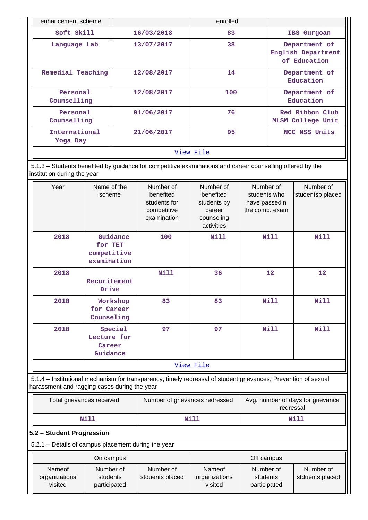| enhancement scheme        |            | enrolled |                                                     |  |
|---------------------------|------------|----------|-----------------------------------------------------|--|
| Soft Skill                | 16/03/2018 | 83       | IBS Gurgoan                                         |  |
| Language Lab              | 13/07/2017 | 38       | Department of<br>English Department<br>of Education |  |
| Remedial Teaching         | 12/08/2017 | 14       | Department of<br>Education                          |  |
| Personal<br>Counselling   | 12/08/2017 | 100      | Department of<br>Education                          |  |
| Personal<br>Counselling   | 01/06/2017 | 76       | Red Ribbon Club<br><b>MLSM College Unit</b>         |  |
| International<br>Yoga Day | 21/06/2017 | 95       | NCC NSS Units                                       |  |
| View File                 |            |          |                                                     |  |

 5.1.3 – Students benefited by guidance for competitive examinations and career counselling offered by the institution during the year

| Year                                                                                                           | Name of the<br>scheme                             | Number of<br>benefited<br>students for<br>competitive<br>examination | Number of<br>benefited<br>students by<br>career<br>counseling<br>activities | Number of<br>students who<br>have passedin<br>the comp. exam | Number of<br>studentsp placed |
|----------------------------------------------------------------------------------------------------------------|---------------------------------------------------|----------------------------------------------------------------------|-----------------------------------------------------------------------------|--------------------------------------------------------------|-------------------------------|
| 2018                                                                                                           | Guidance<br>for TET<br>competitive<br>examination | 100                                                                  | <b>Nill</b>                                                                 | Nill                                                         | Nill                          |
| 2018                                                                                                           | Recuritement<br>Drive                             | <b>Nill</b>                                                          | 36                                                                          | 12                                                           | 12                            |
| 2018                                                                                                           | Workshop<br>for Career<br>Counseling              | 83                                                                   | 83                                                                          | <b>Nill</b>                                                  | Nill                          |
| 2018                                                                                                           | Special<br>Lecture for<br>Career<br>Guidance      | 97                                                                   | 97                                                                          | Nill                                                         | Nill                          |
|                                                                                                                |                                                   |                                                                      | View File                                                                   |                                                              |                               |
| 5.1.4 – Institutional mechanism for transparency, timely redressal of student grievances, Prevention of sexual |                                                   |                                                                      |                                                                             |                                                              |                               |

harassment and ragging cases during the year

| Total grievances received | Number of grievances redressed | Avg. number of days for grievance<br>redressal |
|---------------------------|--------------------------------|------------------------------------------------|
| Nill                      | Nil?                           | Nill                                           |

**5.2 – Student Progression**

5.2.1 – Details of campus placement during the year

|                                    | On campus                             |                              |                                    | Off campus                            |                              |
|------------------------------------|---------------------------------------|------------------------------|------------------------------------|---------------------------------------|------------------------------|
| Nameof<br>organizations<br>visited | Number of<br>students<br>participated | Number of<br>stduents placed | Nameof<br>organizations<br>visited | Number of<br>students<br>participated | Number of<br>stduents placed |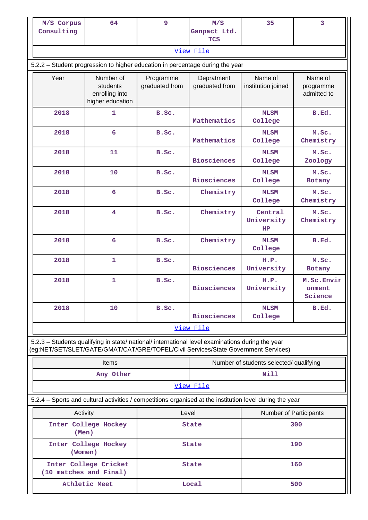| M/S Corpus<br>Consulting                                                                                                                                                               | 64                                                                                                       | $\overline{9}$              | M/S<br>Ganpact Ltd.          | 35                                      | 3                                   |  |  |  |
|----------------------------------------------------------------------------------------------------------------------------------------------------------------------------------------|----------------------------------------------------------------------------------------------------------|-----------------------------|------------------------------|-----------------------------------------|-------------------------------------|--|--|--|
|                                                                                                                                                                                        |                                                                                                          |                             | <b>TCS</b>                   |                                         |                                     |  |  |  |
|                                                                                                                                                                                        |                                                                                                          |                             | View File                    |                                         |                                     |  |  |  |
|                                                                                                                                                                                        | 5.2.2 - Student progression to higher education in percentage during the year                            |                             |                              |                                         |                                     |  |  |  |
| Year                                                                                                                                                                                   | Number of<br>students<br>enrolling into<br>higher education                                              | Programme<br>graduated from | Depratment<br>graduated from | Name of<br>institution joined           | Name of<br>programme<br>admitted to |  |  |  |
| 2018                                                                                                                                                                                   | $\mathbf{1}$                                                                                             | B.Sc.                       | Mathematics                  | <b>MLSM</b><br>College                  | B.Ed.                               |  |  |  |
| 2018                                                                                                                                                                                   | 6                                                                                                        | B.Sc.                       | Mathematics                  | <b>MLSM</b><br>College                  | M.Sc.<br>Chemistry                  |  |  |  |
| 2018                                                                                                                                                                                   | 11                                                                                                       | B.Sc.                       | <b>Biosciences</b>           | <b>MLSM</b><br>College                  | M.Sc.<br>Zoology                    |  |  |  |
| 2018                                                                                                                                                                                   | 10                                                                                                       | B.Sc.                       | <b>Biosciences</b>           | <b>MLSM</b><br>College                  | M.Sc.<br><b>Botany</b>              |  |  |  |
| 2018                                                                                                                                                                                   | $6\overline{6}$                                                                                          | B.Sc.                       | Chemistry                    | <b>MLSM</b><br>College                  | M.Sc.<br>Chemistry                  |  |  |  |
| 2018                                                                                                                                                                                   | 4                                                                                                        | B.Sc.                       | Chemistry                    | Central<br>University<br><b>HP</b>      | M.Sc.<br>Chemistry                  |  |  |  |
| 2018                                                                                                                                                                                   | $6\phantom{1}$                                                                                           | B.Sc.                       | Chemistry                    | <b>MLSM</b><br>College                  | B.Ed.                               |  |  |  |
| 2018                                                                                                                                                                                   | 1                                                                                                        | B.Sc.                       | <b>Biosciences</b>           | H.P.<br>University                      | M.Sc.<br>Botany                     |  |  |  |
| 2018                                                                                                                                                                                   | $\mathbf 1$                                                                                              | B.Sc.                       | <b>Biosciences</b>           | H.P.<br>University                      | M.Sc.Envir<br>onment<br>Science     |  |  |  |
| 2018                                                                                                                                                                                   | 10                                                                                                       | B.Sc.                       | <b>Biosciences</b>           | <b>MLSM</b><br>College                  | B.Ed.                               |  |  |  |
|                                                                                                                                                                                        |                                                                                                          |                             | View File                    |                                         |                                     |  |  |  |
| 5.2.3 - Students qualifying in state/ national/ international level examinations during the year<br>(eg:NET/SET/SLET/GATE/GMAT/CAT/GRE/TOFEL/Civil Services/State Government Services) |                                                                                                          |                             |                              |                                         |                                     |  |  |  |
|                                                                                                                                                                                        | <b>Items</b>                                                                                             |                             |                              | Number of students selected/ qualifying |                                     |  |  |  |
|                                                                                                                                                                                        | Any Other                                                                                                |                             |                              | <b>Nill</b>                             |                                     |  |  |  |
| View File                                                                                                                                                                              |                                                                                                          |                             |                              |                                         |                                     |  |  |  |
|                                                                                                                                                                                        | 5.2.4 – Sports and cultural activities / competitions organised at the institution level during the year |                             |                              |                                         |                                     |  |  |  |
|                                                                                                                                                                                        | Activity                                                                                                 |                             |                              | Level<br>Number of Participants         |                                     |  |  |  |
|                                                                                                                                                                                        | Inter College Hockey<br>(Men)                                                                            |                             | State                        |                                         | 300                                 |  |  |  |
|                                                                                                                                                                                        | Inter College Hockey<br>(Women)                                                                          |                             | <b>State</b>                 |                                         | 190                                 |  |  |  |
|                                                                                                                                                                                        | Inter College Cricket<br>(10 matches and Final)                                                          |                             | <b>State</b>                 |                                         | 160                                 |  |  |  |
|                                                                                                                                                                                        | Athletic Meet                                                                                            |                             | Local                        |                                         | 500                                 |  |  |  |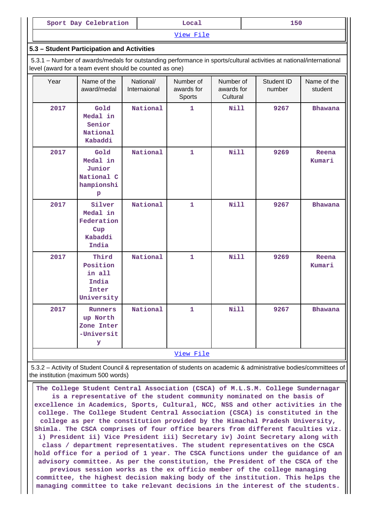| Sport Day Celebration |
|-----------------------|
|-----------------------|

[View File](https://assessmentonline.naac.gov.in/public/Postacc/Activities_Organised/5245_Activities_Organised_1625900512.xlsx)

#### **5.3 – Student Participation and Activities**

 5.3.1 – Number of awards/medals for outstanding performance in sports/cultural activities at national/international level (award for a team event should be counted as one)

| Year | Name of the<br>award/medal                                             | National/<br>Internaional | Number of<br>awards for<br>Sports | Number of<br>awards for<br>Cultural | Student ID<br>number | Name of the<br>student |
|------|------------------------------------------------------------------------|---------------------------|-----------------------------------|-------------------------------------|----------------------|------------------------|
| 2017 | Gold<br>Medal in<br>Senior<br>National<br>Kabaddi                      | National                  | 1                                 | <b>Nill</b>                         | 9267                 | <b>Bhawana</b>         |
| 2017 | Gold<br>Medal in<br>Junior<br>National C<br>hampionshi<br>$\, {\bf p}$ | National                  | $\mathbf{1}$                      | Nill                                | 9269                 | Reena<br>Kumari        |
| 2017 | Silver<br>Medal in<br>Federation<br>Cup<br>Kabaddi<br>India            | National                  | $\mathbf{1}$                      | Nill                                | 9267                 | <b>Bhawana</b>         |
| 2017 | Third<br>Position<br>in all<br>India<br>Inter<br>University            | National                  | $\mathbf{1}$                      | Nill                                | 9269                 | Reena<br>Kumari        |
| 2017 | Runners<br>up North<br>Zone Inter<br>-Universit<br>У                   | National                  | $\mathbf{1}$                      | <b>Nill</b>                         | 9267                 | <b>Bhawana</b>         |
|      |                                                                        |                           | View File                         |                                     |                      |                        |

 5.3.2 – Activity of Student Council & representation of students on academic & administrative bodies/committees of the institution (maximum 500 words)

 **The College Student Central Association (CSCA) of M.L.S.M. College Sundernagar is a representative of the student community nominated on the basis of excellence in Academics, Sports, Cultural, NCC, NSS and other activities in the college. The College Student Central Association (CSCA) is constituted in the college as per the constitution provided by the Himachal Pradesh University, Shimla. The CSCA comprises of four office bearers from different faculties viz. i) President ii) Vice President iii) Secretary iv) Joint Secretary along with class / department representatives. The student representatives on the CSCA hold office for a period of 1 year. The CSCA functions under the guidance of an advisory committee. As per the constitution, the President of the CSCA of the previous session works as the ex officio member of the college managing committee, the highest decision making body of the institution. This helps the managing committee to take relevant decisions in the interest of the students.**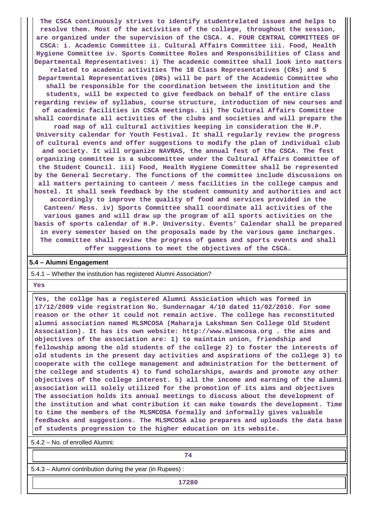**The CSCA continuously strives to identify studentrelated issues and helps to resolve them. Most of the activities of the college, throughout the session, are organized under the supervision of the CSCA. 4. FOUR CENTRAL COMMITTEES OF CSCA: i. Academic Committee ii. Cultural Affairs Committee iii. Food, Health Hygiene Committee iv. Sports Committee Roles and Responsibilities of Class and Departmental Representatives: i) The academic committee shall look into matters related to academic activities The 18 Class Representatives (CRs) and 5 Departmental Representatives (DRs) will be part of the Academic Committee who shall be responsible for the coordination between the institution and the students, will be expected to give feedback on behalf of the entire class regarding review of syllabus, course structure, introduction of new courses and of academic facilities in CSCA meetings. ii) The Cultural Affairs Committee shall coordinate all activities of the clubs and societies and will prepare the road map of all cultural activities keeping in consideration the H.P. University calendar for Youth Festival. It shall regularly review the progress of cultural events and offer suggestions to modify the plan of individual club and society. It will organize NAVRAS, the annual fest of the CSCA. The fest organizing committee is a subcommittee under the Cultural Affairs Committee of the Student Council. iii) Food, Health Hygiene Committee shall be represented by the General Secretary. The functions of the committee include discussions on all matters pertaining to canteen / mess facilities in the college campus and hostel. It shall seek feedback by the student community and authorities and act accordingly to improve the quality of food and services provided in the Canteen/ Mess. iv) Sports Committee shall coordinate all activities of the various games and will draw up the program of all sports activities on the basis of sports calendar of H.P. University. Events' Calendar shall be prepared in every semester based on the proposals made by the various game incharges. The committee shall review the progress of games and sports events and shall offer suggestions to meet the objectives of the CSCA.**

#### **5.4 – Alumni Engagement**

5.4.1 – Whether the institution has registered Alumni Association?

 **Yes**

 **Yes, the collge has a registered Alumni Assiciation which was formed in 17/12/2009 vide registration No. Sundernagar 4/10 dated 11/02/2010. For some reason or the other it could not remain active. The college has reconstituted alumni association named MLSMCOSA (Maharaja Lakshman Sen College Old Student Association). It has its own website: http://www.mlsmcosa.org . the aims and objectives of the association are: 1) to maintain union, friendship and fellowship among the old students of the college 2) to foster the interests of old students in the present day activities and aspirations of the college 3) to cooperate with the college management and administration for the betterment of the college and students 4) to fund scholarships, awards and promote any other objectives of the college interest. 5) all the income and earning of the alumni association will solely utilized for the promotion of its aims and objectives The association holds its annual meetings to discuss about the development of the institution and what contribution it can make towards the development. Time to time the members of the MLSMCOSA formally and informally gives valuable feedbacks and suggestions. The MLSMCOSA also prepares and uploads the data base of students progression to the higher education on its website.**

5.4.2 – No. of enrolled Alumni:

**74**

5.4.3 – Alumni contribution during the year (in Rupees) :

**17280**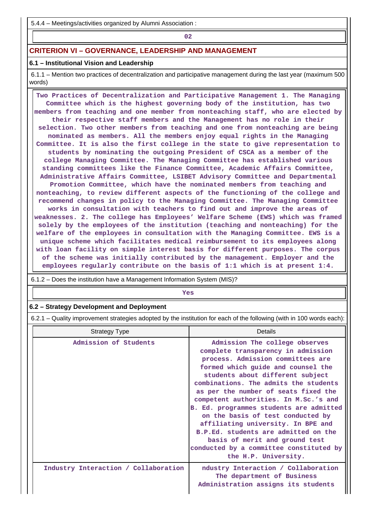5.4.4 – Meetings/activities organized by Alumni Association :

**02**

## **CRITERION VI – GOVERNANCE, LEADERSHIP AND MANAGEMENT**

## **6.1 – Institutional Vision and Leadership**

 6.1.1 – Mention two practices of decentralization and participative management during the last year (maximum 500 words)

 **Two Practices of Decentralization and Participative Management 1. The Managing Committee which is the highest governing body of the institution, has two members from teaching and one member from nonteaching staff, who are elected by their respective staff members and the Management has no role in their selection. Two other members from teaching and one from nonteaching are being nominated as members. All the members enjoy equal rights in the Managing Committee. It is also the first college in the state to give representation to students by nominating the outgoing President of CSCA as a member of the college Managing Committee. The Managing Committee has established various standing committees like the Finance Committee, Academic Affairs Committee, Administrative Affairs Committee, LSIBET Advisory Committee and Departmental Promotion Committee, which have the nominated members from teaching and nonteaching, to review different aspects of the functioning of the college and recommend changes in policy to the Managing Committee. The Managing Committee works in consultation with teachers to find out and improve the areas of weaknesses. 2. The college has Employees' Welfare Scheme (EWS) which was framed solely by the employees of the institution (teaching and nonteaching) for the welfare of the employees in consultation with the Managing Committee. EWS is a unique scheme which facilitates medical reimbursement to its employees along with loan facility on simple interest basis for different purposes. The corpus of the scheme was initially contributed by the management. Employer and the employees regularly contribute on the basis of 1:1 which is at present 1:4.**

6.1.2 – Does the institution have a Management Information System (MIS)?

*Yes* 

### **6.2 – Strategy Development and Deployment**

6.2.1 – Quality improvement strategies adopted by the institution for each of the following (with in 100 words each):

| <b>Strategy Type</b>                 | Details                                                                                                                                                                                                                                                                                                                                                                                                                                                                                                                                                                          |
|--------------------------------------|----------------------------------------------------------------------------------------------------------------------------------------------------------------------------------------------------------------------------------------------------------------------------------------------------------------------------------------------------------------------------------------------------------------------------------------------------------------------------------------------------------------------------------------------------------------------------------|
| Admission of Students                | Admission The college observes<br>complete transparency in admission<br>process. Admission committees are<br>formed which quide and counsel the<br>students about different subject<br>combinations. The admits the students<br>as per the number of seats fixed the<br>competent authorities. In M.Sc.'s and<br>B. Ed. programmes students are admitted<br>on the basis of test conducted by<br>affiliating university. In BPE and<br>B.P.Ed. students are admitted on the<br>basis of merit and ground test<br>conducted by a committee constituted by<br>the H.P. University. |
| Industry Interaction / Collaboration | ndustry Interaction / Collaboration<br>The department of Business<br>Administration assigns its students                                                                                                                                                                                                                                                                                                                                                                                                                                                                         |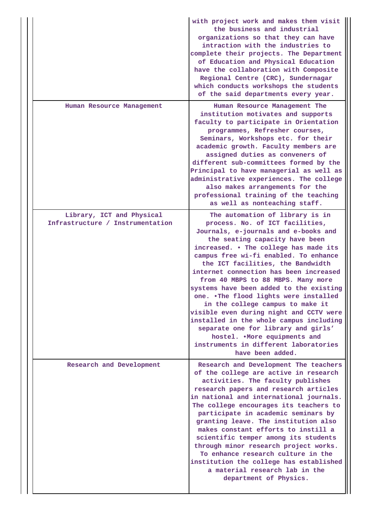|                                                               | with project work and makes them visit<br>the business and industrial<br>organizations so that they can have<br>intraction with the industries to<br>complete their projects. The Department<br>of Education and Physical Education<br>have the collaboration with Composite<br>Regional Centre (CRC), Sundernagar<br>which conducts workshops the students<br>of the said departments every year.                                                                                                                                                                                                                                                                                                     |
|---------------------------------------------------------------|--------------------------------------------------------------------------------------------------------------------------------------------------------------------------------------------------------------------------------------------------------------------------------------------------------------------------------------------------------------------------------------------------------------------------------------------------------------------------------------------------------------------------------------------------------------------------------------------------------------------------------------------------------------------------------------------------------|
| Human Resource Management                                     | Human Resource Management The<br>institution motivates and supports<br>faculty to participate in Orientation<br>programmes, Refresher courses,<br>Seminars, Workshops etc. for their<br>academic growth. Faculty members are<br>assigned duties as conveners of<br>different sub-committees formed by the<br>Principal to have managerial as well as<br>administrative experiences. The college<br>also makes arrangements for the<br>professional training of the teaching<br>as well as nonteaching staff.                                                                                                                                                                                           |
| Library, ICT and Physical<br>Infrastructure / Instrumentation | The automation of library is in<br>process. No. of ICT facilities,<br>Journals, e-journals and e-books and<br>the seating capacity have been<br>increased. . The college has made its<br>campus free wi-fi enabled. To enhance<br>the ICT facilities, the Bandwidth<br>internet connection has been increased<br>from 40 MBPS to 88 MBPS. Many more<br>systems have been added to the existing<br>one. .The flood lights were installed<br>in the college campus to make it<br>visible even during night and CCTV were<br>installed in the whole campus including<br>separate one for library and girls'<br>hostel. . More equipments and<br>instruments in different laboratories<br>have been added. |
| Research and Development                                      | Research and Development The teachers<br>of the college are active in research<br>activities. The faculty publishes<br>research papers and research articles<br>in national and international journals.<br>The college encourages its teachers to<br>participate in academic seminars by<br>granting leave. The institution also<br>makes constant efforts to instill a<br>scientific temper among its students<br>through minor research project works.<br>To enhance research culture in the<br>institution the college has established<br>a material research lab in the<br>department of Physics.                                                                                                  |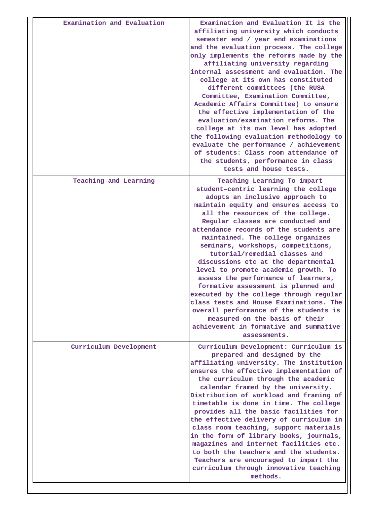| Examination and Evaluation | Examination and Evaluation It is the<br>affiliating university which conducts<br>semester end / year end examinations<br>and the evaluation process. The college<br>only implements the reforms made by the<br>affiliating university regarding<br>internal assessment and evaluation. The<br>college at its own has constituted<br>different committees (the RUSA<br>Committee, Examination Committee,<br>Academic Affairs Committee) to ensure<br>the effective implementation of the<br>evaluation/examination reforms. The<br>college at its own level has adopted<br>the following evaluation methodology to<br>evaluate the performance / achievement<br>of students: Class room attendance of<br>the students, performance in class<br>tests and house tests.     |
|----------------------------|--------------------------------------------------------------------------------------------------------------------------------------------------------------------------------------------------------------------------------------------------------------------------------------------------------------------------------------------------------------------------------------------------------------------------------------------------------------------------------------------------------------------------------------------------------------------------------------------------------------------------------------------------------------------------------------------------------------------------------------------------------------------------|
| Teaching and Learning      | Teaching Learning To impart<br>student-centric learning the college<br>adopts an inclusive approach to<br>maintain equity and ensures access to<br>all the resources of the college.<br>Regular classes are conducted and<br>attendance records of the students are<br>maintained. The college organizes<br>seminars, workshops, competitions,<br>tutorial/remedial classes and<br>discussions etc at the departmental<br>level to promote academic growth. To<br>assess the performance of learners,<br>formative assessment is planned and<br>executed by the college through regular<br>class tests and House Examinations. The<br>overall performance of the students is<br>measured on the basis of their<br>achievement in formative and summative<br>assessments. |
| Curriculum Development     | Curriculum Development: Curriculum is<br>prepared and designed by the<br>affiliating university. The institution<br>ensures the effective implementation of<br>the curriculum through the academic<br>calendar framed by the university.<br>Distribution of workload and framing of<br>timetable is done in time. The college<br>provides all the basic facilities for<br>the effective delivery of curriculum in<br>class room teaching, support materials<br>in the form of library books, journals,<br>magazines and internet facilities etc.<br>to both the teachers and the students.<br>Teachers are encouraged to impart the<br>curriculum through innovative teaching<br>methods.                                                                                |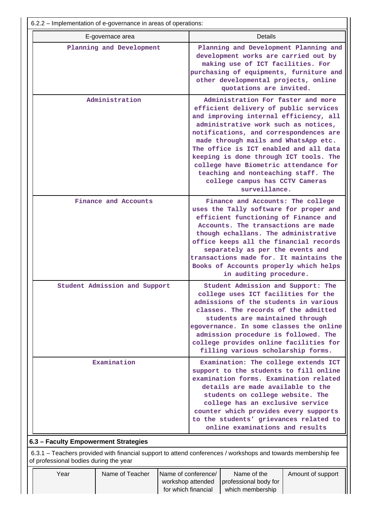|  | 6.2.2 – Implementation of e-governance in areas of operations: |                  |                                                                 |                                                                                                                                                                                                                                                                                                                                                                                                 |                                                                                                                                                                                                                                                                                                                                                                                                                                                                         |                   |  |  |
|--|----------------------------------------------------------------|------------------|-----------------------------------------------------------------|-------------------------------------------------------------------------------------------------------------------------------------------------------------------------------------------------------------------------------------------------------------------------------------------------------------------------------------------------------------------------------------------------|-------------------------------------------------------------------------------------------------------------------------------------------------------------------------------------------------------------------------------------------------------------------------------------------------------------------------------------------------------------------------------------------------------------------------------------------------------------------------|-------------------|--|--|
|  |                                                                | E-governace area |                                                                 | Details                                                                                                                                                                                                                                                                                                                                                                                         |                                                                                                                                                                                                                                                                                                                                                                                                                                                                         |                   |  |  |
|  | Planning and Development<br>Administration                     |                  |                                                                 |                                                                                                                                                                                                                                                                                                                                                                                                 | Planning and Development Planning and<br>development works are carried out by<br>making use of ICT facilities. For<br>purchasing of equipments, furniture and<br>other developmental projects, online<br>quotations are invited.                                                                                                                                                                                                                                        |                   |  |  |
|  |                                                                |                  |                                                                 |                                                                                                                                                                                                                                                                                                                                                                                                 | Administration For faster and more<br>efficient delivery of public services<br>and improving internal efficiency, all<br>administrative work such as notices,<br>notifications, and correspondences are<br>made through mails and WhatsApp etc.<br>The office is ICT enabled and all data<br>keeping is done through ICT tools. The<br>college have Biometric attendance for<br>teaching and nonteaching staff. The<br>college campus has CCTV Cameras<br>surveillance. |                   |  |  |
|  | Finance and Accounts                                           |                  |                                                                 | Finance and Accounts: The college<br>uses the Tally software for proper and<br>efficient functioning of Finance and<br>Accounts. The transactions are made<br>though echallans. The administrative<br>office keeps all the financial records<br>separately as per the events and<br>transactions made for. It maintains the<br>Books of Accounts properly which helps<br>in auditing procedure. |                                                                                                                                                                                                                                                                                                                                                                                                                                                                         |                   |  |  |
|  | Student Admission and Support<br>Examination                   |                  |                                                                 | Student Admission and Support: The<br>college uses ICT facilities for the<br>admissions of the students in various<br>classes. The records of the admitted<br>students are maintained through<br>egovernance. In some classes the online<br>admission procedure is followed. The<br>college provides online facilities for<br>filling various scholarship forms.                                |                                                                                                                                                                                                                                                                                                                                                                                                                                                                         |                   |  |  |
|  |                                                                |                  |                                                                 | Examination: The college extends ICT<br>support to the students to fill online<br>examination forms. Examination related<br>details are made available to the<br>students on college website. The<br>college has an exclusive service<br>counter which provides every supports<br>to the students' grievances related to<br>online examinations and results                                     |                                                                                                                                                                                                                                                                                                                                                                                                                                                                         |                   |  |  |
|  | 6.3 - Faculty Empowerment Strategies                           |                  |                                                                 |                                                                                                                                                                                                                                                                                                                                                                                                 |                                                                                                                                                                                                                                                                                                                                                                                                                                                                         |                   |  |  |
|  | of professional bodies during the year                         |                  |                                                                 |                                                                                                                                                                                                                                                                                                                                                                                                 | 6.3.1 – Teachers provided with financial support to attend conferences / workshops and towards membership fee                                                                                                                                                                                                                                                                                                                                                           |                   |  |  |
|  | Year                                                           | Name of Teacher  | Name of conference/<br>workshop attended<br>for which financial |                                                                                                                                                                                                                                                                                                                                                                                                 | Name of the<br>professional body for<br>which membership                                                                                                                                                                                                                                                                                                                                                                                                                | Amount of support |  |  |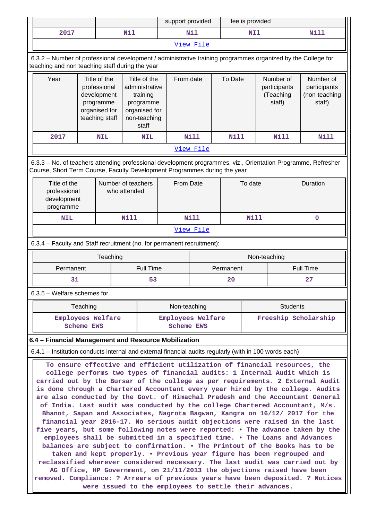|                                                                                                                                                                                                                                                                                                                                                                                                                                                                                                                                                                                                                                                                                                                                                                                                                                                                                                                                                                                                                                                                                                                                                                                                                                                                                              |                   |                                                                                             |                                                                                                   | support provided                |           |           | fee is provided |                                                  |                 |                                                      |
|----------------------------------------------------------------------------------------------------------------------------------------------------------------------------------------------------------------------------------------------------------------------------------------------------------------------------------------------------------------------------------------------------------------------------------------------------------------------------------------------------------------------------------------------------------------------------------------------------------------------------------------------------------------------------------------------------------------------------------------------------------------------------------------------------------------------------------------------------------------------------------------------------------------------------------------------------------------------------------------------------------------------------------------------------------------------------------------------------------------------------------------------------------------------------------------------------------------------------------------------------------------------------------------------|-------------------|---------------------------------------------------------------------------------------------|---------------------------------------------------------------------------------------------------|---------------------------------|-----------|-----------|-----------------|--------------------------------------------------|-----------------|------------------------------------------------------|
| 2017                                                                                                                                                                                                                                                                                                                                                                                                                                                                                                                                                                                                                                                                                                                                                                                                                                                                                                                                                                                                                                                                                                                                                                                                                                                                                         |                   |                                                                                             | Nil                                                                                               |                                 | Nil       |           | NI1             |                                                  |                 | <b>Nill</b>                                          |
|                                                                                                                                                                                                                                                                                                                                                                                                                                                                                                                                                                                                                                                                                                                                                                                                                                                                                                                                                                                                                                                                                                                                                                                                                                                                                              |                   |                                                                                             |                                                                                                   |                                 | View File |           |                 |                                                  |                 |                                                      |
| 6.3.2 - Number of professional development / administrative training programmes organized by the College for<br>teaching and non teaching staff during the year                                                                                                                                                                                                                                                                                                                                                                                                                                                                                                                                                                                                                                                                                                                                                                                                                                                                                                                                                                                                                                                                                                                              |                   |                                                                                             |                                                                                                   |                                 |           |           |                 |                                                  |                 |                                                      |
| Year                                                                                                                                                                                                                                                                                                                                                                                                                                                                                                                                                                                                                                                                                                                                                                                                                                                                                                                                                                                                                                                                                                                                                                                                                                                                                         |                   | Title of the<br>professional<br>development<br>programme<br>organised for<br>teaching staff | Title of the<br>administrative<br>training<br>programme<br>organised for<br>non-teaching<br>staff | From date                       |           | To Date   |                 | Number of<br>participants<br>(Teaching<br>staff) |                 | Number of<br>participants<br>(non-teaching<br>staff) |
| 2017                                                                                                                                                                                                                                                                                                                                                                                                                                                                                                                                                                                                                                                                                                                                                                                                                                                                                                                                                                                                                                                                                                                                                                                                                                                                                         |                   | <b>NIL</b>                                                                                  | <b>NIL</b>                                                                                        |                                 | Nill      | Nill      |                 | <b>Nill</b>                                      |                 | <b>Nill</b>                                          |
|                                                                                                                                                                                                                                                                                                                                                                                                                                                                                                                                                                                                                                                                                                                                                                                                                                                                                                                                                                                                                                                                                                                                                                                                                                                                                              |                   |                                                                                             |                                                                                                   |                                 | View File |           |                 |                                                  |                 |                                                      |
| 6.3.3 - No. of teachers attending professional development programmes, viz., Orientation Programme, Refresher<br>Course, Short Term Course, Faculty Development Programmes during the year                                                                                                                                                                                                                                                                                                                                                                                                                                                                                                                                                                                                                                                                                                                                                                                                                                                                                                                                                                                                                                                                                                   |                   |                                                                                             |                                                                                                   |                                 |           |           |                 |                                                  |                 |                                                      |
| Title of the<br>professional<br>development<br>programme                                                                                                                                                                                                                                                                                                                                                                                                                                                                                                                                                                                                                                                                                                                                                                                                                                                                                                                                                                                                                                                                                                                                                                                                                                     |                   |                                                                                             | Number of teachers<br>who attended                                                                | From Date                       |           |           | To date         |                                                  | Duration        |                                                      |
| <b>NIL</b>                                                                                                                                                                                                                                                                                                                                                                                                                                                                                                                                                                                                                                                                                                                                                                                                                                                                                                                                                                                                                                                                                                                                                                                                                                                                                   |                   |                                                                                             | Nill                                                                                              |                                 | Nill      |           | <b>Nill</b>     | $\mathbf 0$                                      |                 |                                                      |
|                                                                                                                                                                                                                                                                                                                                                                                                                                                                                                                                                                                                                                                                                                                                                                                                                                                                                                                                                                                                                                                                                                                                                                                                                                                                                              |                   |                                                                                             |                                                                                                   |                                 | View File |           |                 |                                                  |                 |                                                      |
| 6.3.4 - Faculty and Staff recruitment (no. for permanent recruitment):                                                                                                                                                                                                                                                                                                                                                                                                                                                                                                                                                                                                                                                                                                                                                                                                                                                                                                                                                                                                                                                                                                                                                                                                                       |                   |                                                                                             |                                                                                                   |                                 |           |           |                 |                                                  |                 |                                                      |
| Teaching<br>Non-teaching                                                                                                                                                                                                                                                                                                                                                                                                                                                                                                                                                                                                                                                                                                                                                                                                                                                                                                                                                                                                                                                                                                                                                                                                                                                                     |                   |                                                                                             |                                                                                                   |                                 |           |           |                 |                                                  |                 |                                                      |
| Permanent                                                                                                                                                                                                                                                                                                                                                                                                                                                                                                                                                                                                                                                                                                                                                                                                                                                                                                                                                                                                                                                                                                                                                                                                                                                                                    |                   |                                                                                             | Full Time                                                                                         |                                 |           | Permanent |                 |                                                  |                 | <b>Full Time</b>                                     |
| 31                                                                                                                                                                                                                                                                                                                                                                                                                                                                                                                                                                                                                                                                                                                                                                                                                                                                                                                                                                                                                                                                                                                                                                                                                                                                                           |                   |                                                                                             | 53                                                                                                |                                 | 27<br>20  |           |                 |                                                  |                 |                                                      |
| $6.3.5$ – Welfare schemes for                                                                                                                                                                                                                                                                                                                                                                                                                                                                                                                                                                                                                                                                                                                                                                                                                                                                                                                                                                                                                                                                                                                                                                                                                                                                |                   |                                                                                             |                                                                                                   |                                 |           |           |                 |                                                  |                 |                                                      |
|                                                                                                                                                                                                                                                                                                                                                                                                                                                                                                                                                                                                                                                                                                                                                                                                                                                                                                                                                                                                                                                                                                                                                                                                                                                                                              | Teaching          |                                                                                             |                                                                                                   | Non-teaching                    |           |           |                 |                                                  | <b>Students</b> |                                                      |
|                                                                                                                                                                                                                                                                                                                                                                                                                                                                                                                                                                                                                                                                                                                                                                                                                                                                                                                                                                                                                                                                                                                                                                                                                                                                                              | <b>Scheme EWS</b> | Employees Welfare                                                                           |                                                                                                   | Employees Welfare<br>Scheme EWS |           |           |                 |                                                  |                 | Freeship Scholarship                                 |
| 6.4 - Financial Management and Resource Mobilization                                                                                                                                                                                                                                                                                                                                                                                                                                                                                                                                                                                                                                                                                                                                                                                                                                                                                                                                                                                                                                                                                                                                                                                                                                         |                   |                                                                                             |                                                                                                   |                                 |           |           |                 |                                                  |                 |                                                      |
| 6.4.1 – Institution conducts internal and external financial audits regularly (with in 100 words each)                                                                                                                                                                                                                                                                                                                                                                                                                                                                                                                                                                                                                                                                                                                                                                                                                                                                                                                                                                                                                                                                                                                                                                                       |                   |                                                                                             |                                                                                                   |                                 |           |           |                 |                                                  |                 |                                                      |
| To ensure effective and efficient utilization of financial resources, the<br>college performs two types of financial audits: 1 Internal Audit which is<br>carried out by the Bursar of the college as per requirements. 2 External Audit<br>is done through a Chartered Accountant every year hired by the college. Audits<br>are also conducted by the Govt. of Himachal Pradesh and the Accountant General<br>of India. Last audit was conducted by the college Chartered Accountant, M/s.<br>Bhanot, Sapan and Associates, Nagrota Bagwan, Kangra on 16/12/ 2017 for the<br>financial year 2016-17. No serious audit objections were raised in the last<br>five years, but some following notes were reported: . The advance taken by the<br>employees shall be submitted in a specified time. . The Loans and Advances<br>balances are subject to confirmation. . The Printout of the Books has to be<br>taken and kept properly. . Previous year figure has been regrouped and<br>reclassified wherever considered necessary. The last audit was carried out by<br>AG Office, HP Government, on 21/11/2013 the objections raised have been<br>removed. Compliance: ? Arrears of previous years have been deposited. ? Notices<br>were issued to the employees to settle their advances. |                   |                                                                                             |                                                                                                   |                                 |           |           |                 |                                                  |                 |                                                      |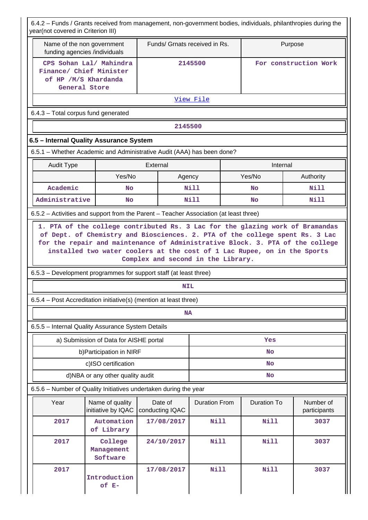6.4.2 – Funds / Grants received from management, non-government bodies, individuals, philanthropies during the year(not covered in Criterion III)

| <b>Vearthor covered in Chilehon III)</b>                                              |                                                                                                                                                                                                                                                                                                                                                                  |                            |                               |  |                       |                           |  |  |
|---------------------------------------------------------------------------------------|------------------------------------------------------------------------------------------------------------------------------------------------------------------------------------------------------------------------------------------------------------------------------------------------------------------------------------------------------------------|----------------------------|-------------------------------|--|-----------------------|---------------------------|--|--|
| Name of the non government<br>funding agencies /individuals                           |                                                                                                                                                                                                                                                                                                                                                                  |                            | Funds/ Grnats received in Rs. |  | Purpose               |                           |  |  |
| CPS Sohan Lal/ Mahindra<br>Finance/ Chief Minister                                    |                                                                                                                                                                                                                                                                                                                                                                  |                            | 2145500                       |  | For construction Work |                           |  |  |
|                                                                                       | of HP /M/S Khardanda                                                                                                                                                                                                                                                                                                                                             |                            |                               |  |                       |                           |  |  |
| General Store                                                                         |                                                                                                                                                                                                                                                                                                                                                                  |                            |                               |  |                       |                           |  |  |
|                                                                                       |                                                                                                                                                                                                                                                                                                                                                                  |                            | <u>View File</u>              |  |                       |                           |  |  |
| 6.4.3 - Total corpus fund generated                                                   |                                                                                                                                                                                                                                                                                                                                                                  |                            |                               |  |                       |                           |  |  |
|                                                                                       |                                                                                                                                                                                                                                                                                                                                                                  | 2145500                    |                               |  |                       |                           |  |  |
| 6.5 - Internal Quality Assurance System                                               |                                                                                                                                                                                                                                                                                                                                                                  |                            |                               |  |                       |                           |  |  |
| 6.5.1 - Whether Academic and Administrative Audit (AAA) has been done?                |                                                                                                                                                                                                                                                                                                                                                                  |                            |                               |  |                       |                           |  |  |
| <b>Audit Type</b>                                                                     |                                                                                                                                                                                                                                                                                                                                                                  | External                   |                               |  | Internal              |                           |  |  |
|                                                                                       | Yes/No                                                                                                                                                                                                                                                                                                                                                           | Agency                     |                               |  | Yes/No                | Authority                 |  |  |
| Academic                                                                              | No                                                                                                                                                                                                                                                                                                                                                               |                            | Nill                          |  | <b>No</b>             | Nill                      |  |  |
| Administrative                                                                        | No                                                                                                                                                                                                                                                                                                                                                               |                            | <b>Nill</b>                   |  | No                    | <b>Nill</b>               |  |  |
| 6.5.2 - Activities and support from the Parent - Teacher Association (at least three) |                                                                                                                                                                                                                                                                                                                                                                  |                            |                               |  |                       |                           |  |  |
|                                                                                       | 1. PTA of the college contributed Rs. 3 Lac for the glazing work of Bramandas<br>of Dept. of Chemistry and Biosciences. 2. PTA of the college spent Rs. 3 Lac<br>for the repair and maintenance of Administrative Block. 3. PTA of the college<br>installed two water coolers at the cost of 1 Lac Rupee, on in the Sports<br>Complex and second in the Library. |                            |                               |  |                       |                           |  |  |
| 6.5.3 – Development programmes for support staff (at least three)                     |                                                                                                                                                                                                                                                                                                                                                                  |                            |                               |  |                       |                           |  |  |
|                                                                                       |                                                                                                                                                                                                                                                                                                                                                                  | <b>NIL</b>                 |                               |  |                       |                           |  |  |
| 6.5.4 – Post Accreditation initiative(s) (mention at least three)                     |                                                                                                                                                                                                                                                                                                                                                                  |                            |                               |  |                       |                           |  |  |
|                                                                                       |                                                                                                                                                                                                                                                                                                                                                                  | <b>NA</b>                  |                               |  |                       |                           |  |  |
| 6.5.5 - Internal Quality Assurance System Details                                     |                                                                                                                                                                                                                                                                                                                                                                  |                            |                               |  |                       |                           |  |  |
|                                                                                       | a) Submission of Data for AISHE portal                                                                                                                                                                                                                                                                                                                           |                            |                               |  | Yes                   |                           |  |  |
|                                                                                       | b) Participation in NIRF                                                                                                                                                                                                                                                                                                                                         |                            | No                            |  |                       |                           |  |  |
|                                                                                       | c)ISO certification                                                                                                                                                                                                                                                                                                                                              |                            | No                            |  |                       |                           |  |  |
|                                                                                       | d)NBA or any other quality audit                                                                                                                                                                                                                                                                                                                                 |                            | No                            |  |                       |                           |  |  |
| 6.5.6 - Number of Quality Initiatives undertaken during the year                      |                                                                                                                                                                                                                                                                                                                                                                  |                            |                               |  |                       |                           |  |  |
| Year                                                                                  | Name of quality<br>initiative by IQAC                                                                                                                                                                                                                                                                                                                            | Date of<br>conducting IQAC | <b>Duration From</b>          |  | <b>Duration To</b>    | Number of<br>participants |  |  |
| 2017                                                                                  | Automation<br>of Library                                                                                                                                                                                                                                                                                                                                         | 17/08/2017                 | <b>Nill</b>                   |  | <b>Nill</b>           | 3037                      |  |  |
| 2017                                                                                  | College<br>Management<br>Software                                                                                                                                                                                                                                                                                                                                | 24/10/2017                 | Nill                          |  | <b>Nill</b>           | 3037                      |  |  |
| 2017                                                                                  | Introduction<br>of E-                                                                                                                                                                                                                                                                                                                                            | 17/08/2017                 | Nill                          |  | <b>Nill</b>           | 3037                      |  |  |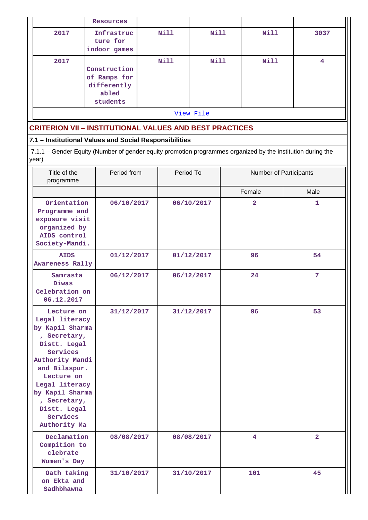|                                                                                                                                                                                                                                                               | <b>Resources</b>                                                 |             |                          |                |                        |                      |
|---------------------------------------------------------------------------------------------------------------------------------------------------------------------------------------------------------------------------------------------------------------|------------------------------------------------------------------|-------------|--------------------------|----------------|------------------------|----------------------|
| 2017                                                                                                                                                                                                                                                          | Infrastruc<br>ture for<br>indoor games                           | <b>Nill</b> | <b>Nill</b>              |                | <b>Nill</b>            | 3037                 |
| 2017                                                                                                                                                                                                                                                          | Construction<br>of Ramps for<br>differently<br>abled<br>students | Nill        | <b>Nill</b>              |                | Nill                   | $\overline{\bf 4}$   |
|                                                                                                                                                                                                                                                               |                                                                  |             | View File                |                |                        |                      |
| <b>CRITERION VII - INSTITUTIONAL VALUES AND BEST PRACTICES</b>                                                                                                                                                                                                |                                                                  |             |                          |                |                        |                      |
| 7.1 - Institutional Values and Social Responsibilities                                                                                                                                                                                                        |                                                                  |             |                          |                |                        |                      |
| 7.1.1 - Gender Equity (Number of gender equity promotion programmes organized by the institution during the<br>year)                                                                                                                                          |                                                                  |             |                          |                |                        |                      |
| Title of the<br>programme                                                                                                                                                                                                                                     | Period from                                                      |             | Period To                |                | Number of Participants |                      |
|                                                                                                                                                                                                                                                               |                                                                  |             |                          | Female         |                        | Male                 |
| Orientation<br>Programme and<br>exposure visit<br>organized by<br>AIDS control<br>Society-Mandi.                                                                                                                                                              | 06/10/2017                                                       |             | 06/10/2017               | $\overline{2}$ |                        | 1                    |
| <b>AIDS</b><br><b>Awareness Rally</b>                                                                                                                                                                                                                         | 01/12/2017                                                       |             | 01/12/2017               | 96             |                        | 54                   |
| Samrasta<br>Diwas<br>Celebration on<br>06.12.2017                                                                                                                                                                                                             | 06/12/2017                                                       |             | 06/12/2017               | 24             |                        | $\overline{7}$       |
| Lecture on<br>Legal literacy<br>by Kapil Sharma<br>, Secretary,<br>Distt. Legal<br>Services<br>Authority Mandi<br>and Bilaspur.<br>Lecture on<br>Legal literacy<br>by Kapil Sharma<br>, Secretary,<br>Distt. Legal<br>Services<br>Authority Ma<br>Declamation | 31/12/2017<br>08/08/2017                                         |             | 31/12/2017<br>08/08/2017 | 96<br>4        |                        | 53<br>$\overline{2}$ |
| Compition to<br>clebrate<br>Women's Day                                                                                                                                                                                                                       |                                                                  |             |                          |                |                        |                      |
| Oath taking<br>on Ekta and<br>Sadhbhawna                                                                                                                                                                                                                      | 31/10/2017                                                       |             | 31/10/2017               | 101            |                        | 45                   |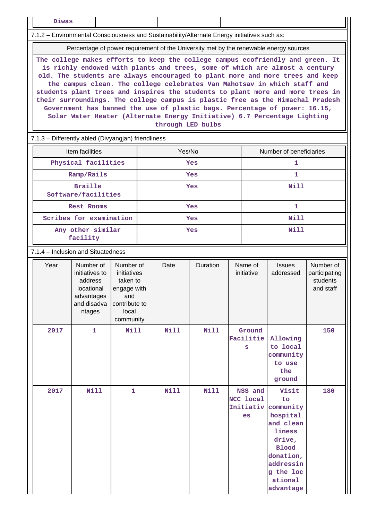**Diwas**

7.1.2 – Environmental Consciousness and Sustainability/Alternate Energy initiatives such as:

Percentage of power requirement of the University met by the renewable energy sources

**The college makes efforts to keep the college campus ecofriendly and green. It is richly endowed with plants and trees, some of which are almost a century old. The students are always encouraged to plant more and more trees and keep the campus clean. The college celebrates Van Mahotsav in which staff and students plant trees and inspires the students to plant more and more trees in their surroundings. The college campus is plastic free as the Himachal Pradesh Government has banned the use of plastic bags. Percentage of power: 16.15, Solar Water Heater (Alternate Energy Initiative) 6.7 Percentage Lighting through LED bulbs**

7.1.3 – Differently abled (Divyangjan) friendliness

| Item facilities                       | Yes/No | Number of beneficiaries |
|---------------------------------------|--------|-------------------------|
| Physical facilities                   | Yes    |                         |
| Ramp/Rails                            | Yes    |                         |
| <b>Braille</b><br>Software/facilities | Yes    | Nill                    |
| <b>Rest Rooms</b>                     | Yes    |                         |
| Scribes for examination               | Yes    | Nill                    |
| Any other similar<br>facility         | Yes    | Nill                    |

#### 7.1.4 – Inclusion and Situatedness

| Year | Number of<br>initiatives to<br>address<br>locational<br>advantages<br>and disadva<br>ntages | Number of<br>initiatives<br>taken to<br>engage with<br>and<br>contribute to<br>local<br>community | Date        | Duration    | Name of<br>initiative                          | <b>Issues</b><br>addressed                                                                                                                           | Number of<br>participating<br>students<br>and staff |
|------|---------------------------------------------------------------------------------------------|---------------------------------------------------------------------------------------------------|-------------|-------------|------------------------------------------------|------------------------------------------------------------------------------------------------------------------------------------------------------|-----------------------------------------------------|
| 2017 | 1                                                                                           | <b>Nill</b>                                                                                       | Nill        | <b>Nill</b> | Ground<br>Facilitie<br>S                       | Allowing<br>to local<br>community<br>to use<br>the<br>ground                                                                                         | 150                                                 |
| 2017 | <b>Nill</b>                                                                                 | $\mathbf{1}$                                                                                      | <b>Nill</b> | <b>Nill</b> | NSS and<br><b>NCC local</b><br>Initiativ<br>es | Visit<br>to<br>community<br>hospital<br>and clean<br>liness<br>drive,<br><b>Blood</b><br>donation,<br>addressin<br>g the loc<br>ational<br>advantage | 180                                                 |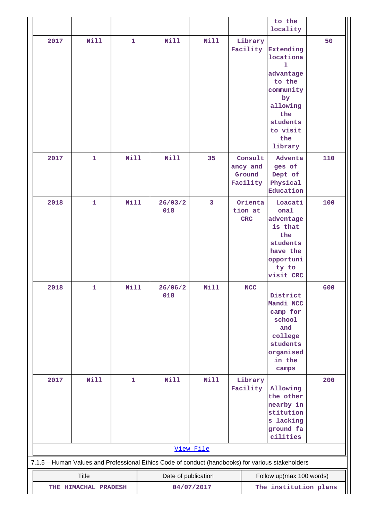|      |                                                             |              |                                                                                                   |              |                                           | to the<br>locality                                                                                                                 |     |  |
|------|-------------------------------------------------------------|--------------|---------------------------------------------------------------------------------------------------|--------------|-------------------------------------------|------------------------------------------------------------------------------------------------------------------------------------|-----|--|
| 2017 | <b>Nill</b>                                                 | $\mathbf{1}$ | Nill                                                                                              | <b>Nill</b>  | Library<br>Facility                       | Extending<br>locationa<br>ı<br>advantage<br>to the<br>community<br>by<br>allowing<br>the<br>students<br>to visit<br>the<br>library | 50  |  |
| 2017 | $\mathbf{1}$                                                | <b>Nill</b>  | <b>Nill</b>                                                                                       | 35           | Consult<br>ancy and<br>Ground<br>Facility | Adventa<br>ges of<br>Dept of<br>Physical<br>Education                                                                              | 110 |  |
| 2018 | $\mathbf{1}$                                                | <b>Nill</b>  | 26/03/2<br>018                                                                                    | $\mathbf{3}$ | Orienta<br>tion at<br>$CRC$               | Loacati<br>onal<br>adventage<br>is that<br>the<br>students<br>have the<br>opportuni<br>ty to<br>visit CRC                          | 100 |  |
| 2018 | $\mathbf 1$                                                 | <b>Nill</b>  | 26/06/2<br>018                                                                                    | <b>Nill</b>  | <b>NCC</b>                                | District<br>Mandi NCC<br>camp for<br>school<br>and<br>college<br>students<br>organised<br>in the<br>$c$ amps                       | 600 |  |
| 2017 | <b>Nill</b>                                                 | $\mathbf{1}$ | <b>Nill</b>                                                                                       | <b>Nill</b>  | Library<br>Facility                       | Allowing<br>the other<br>nearby in<br>stitution<br>s lacking<br>ground fa<br>cilities                                              | 200 |  |
|      |                                                             |              |                                                                                                   | View File    |                                           |                                                                                                                                    |     |  |
|      |                                                             |              | 7.1.5 - Human Values and Professional Ethics Code of conduct (handbooks) for various stakeholders |              |                                           |                                                                                                                                    |     |  |
|      | <b>Title</b>                                                |              | Date of publication                                                                               |              |                                           | Follow up(max 100 words)                                                                                                           |     |  |
|      | The institution plans<br>04/07/2017<br>THE HIMACHAL PRADESH |              |                                                                                                   |              |                                           |                                                                                                                                    |     |  |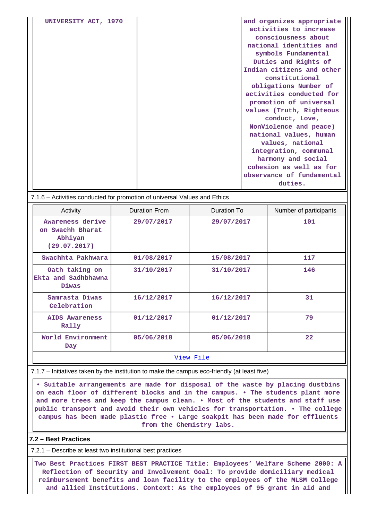| UNIVERSITY ACT, 1970 | and organizes appropriate |
|----------------------|---------------------------|
|                      | activities to increase    |
|                      | consciousness about       |
|                      | national identities and   |
|                      | symbols Fundamental       |
|                      | Duties and Rights of      |
|                      | Indian citizens and other |
|                      | constitutional            |
|                      | obligations Number of     |
|                      | activities conducted for  |
|                      | promotion of universal    |
|                      | values (Truth, Righteous  |
|                      | conduct, Love,            |
|                      | NonViolence and peace)    |
|                      | national values, human    |
|                      | values, national          |
|                      | integration, communal     |
|                      | harmony and social        |
|                      | cohesion as well as for   |
|                      | observance of fundamental |
|                      | duties.                   |
|                      |                           |

#### 7.1.6 – Activities conducted for promotion of universal Values and Ethics

| Activity                                                        | <b>Duration From</b> | Duration To | Number of participants |  |  |  |
|-----------------------------------------------------------------|----------------------|-------------|------------------------|--|--|--|
| Awareness derive<br>on Swachh Bharat<br>Abhiyan<br>(29.07.2017) | 29/07/2017           | 29/07/2017  | 101                    |  |  |  |
| Swachhta Pakhwara                                               | 01/08/2017           | 15/08/2017  | 117                    |  |  |  |
| Oath taking on<br>Ekta and Sadhbhawna<br>Diwas                  | 31/10/2017           | 31/10/2017  | 146                    |  |  |  |
| Samrasta Diwas<br>Celebration                                   | 16/12/2017           | 16/12/2017  | 31                     |  |  |  |
| AIDS Awareness<br>Rally                                         | 01/12/2017           | 01/12/2017  | 79                     |  |  |  |
| World Environment<br>Day                                        | 05/06/2018           | 05/06/2018  | $22 \overline{)}$      |  |  |  |
| View File                                                       |                      |             |                        |  |  |  |

7.1.7 – Initiatives taken by the institution to make the campus eco-friendly (at least five)

 **• Suitable arrangements are made for disposal of the waste by placing dustbins on each floor of different blocks and in the campus. • The students plant more and more trees and keep the campus clean. • Most of the students and staff use public transport and avoid their own vehicles for transportation. • The college campus has been made plastic free • Large soakpit has been made for effluents from the Chemistry labs.**

### **7.2 – Best Practices**

7.2.1 – Describe at least two institutional best practices

 **Two Best Practices FIRST BEST PRACTICE Title: Employees' Welfare Scheme 2000: A Reflection of Security and Involvement Goal: To provide domiciliary medical reimbursement benefits and loan facility to the employees of the MLSM College and allied Institutions. Context: As the employees of 95 grant in aid and**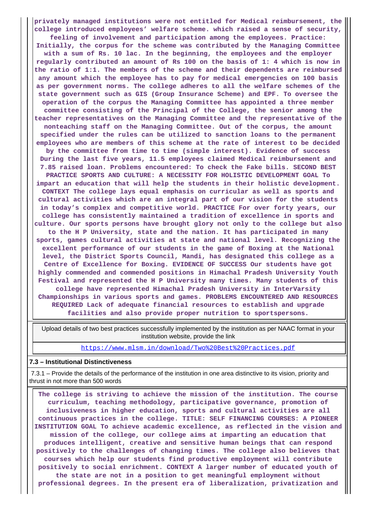**privately managed institutions were not entitled for Medical reimbursement, the college introduced employees' welfare scheme. which raised a sense of security, feeling of involvement and participation among the employees. Practice: Initially, the corpus for the scheme was contributed by the Managing Committee with a sum of Rs. 10 lac. In the beginning, the employees and the employer regularly contributed an amount of Rs 100 on the basis of 1: 4 which is now in the ratio of 1:1. The members of the scheme and their dependents are reimbursed any amount which the employee has to pay for medical emergencies on 100 basis as per government norms. The college adheres to all the welfare schemes of the state government such as GIS (Group Insurance Scheme) and EPF. To oversee the operation of the corpus the Managing Committee has appointed a three member committee consisting of the Principal of the College, the senior among the teacher representatives on the Managing Committee and the representative of the nonteaching staff on the Managing Committee. Out of the corpus, the amount specified under the rules can be utilized to sanction loans to the permanent employees who are members of this scheme at the rate of interest to be decided by the committee from time to time (simple interest). Evidence of success During the last five years, 11.5 employees claimed Medical reimbursement and 7.85 raised loan. Problems encountered: To check the Fake bills. SECOND BEST PRACTICE SPORTS AND CULTURE: A NECESSITY FOR HOLISTIC DEVELOPMENT GOAL To impart an education that will help the students in their holistic development. CONTEXT The college lays equal emphasis on curricular as well as sports and cultural activities which are an integral part of our vision for the students in today's complex and competitive world. PRACTICE For over forty years, our college has consistently maintained a tradition of excellence in sports and culture. Our sports persons have brought glory not only to the college but also to the H P University, state and the nation. It has participated in many sports, games cultural activities at state and national level. Recognizing the excellent performance of our students in the game of Boxing at the National level, the District Sports Council, Mandi, has designated this college as a Centre of Excellence for Boxing. EVIDENCE OF SUCCESS Our students have got highly commended and commended positions in Himachal Pradesh University Youth Festival and represented the H P University many times. Many students of this college have represented Himachal Pradesh University in InterVarsity Championships in various sports and games. PROBLEMS ENCOUNTERED AND RESOURCES REQUIRED Lack of adequate financial resources to establish and upgrade facilities and also provide proper nutrition to sportspersons.**

 Upload details of two best practices successfully implemented by the institution as per NAAC format in your institution website, provide the link

<https://www.mlsm.in/download/Two%20Best%20Practices.pdf>

#### **7.3 – Institutional Distinctiveness**

 7.3.1 – Provide the details of the performance of the institution in one area distinctive to its vision, priority and thrust in not more than 500 words

 **The college is striving to achieve the mission of the institution. The course curriculum, teaching methodology, participative governance, promotion of inclusiveness in higher education, sports and cultural activities are all continuous practices in the college. TITLE: SELF FINANCING COURSES: A PIONEER INSTITUTION GOAL To achieve academic excellence, as reflected in the vision and mission of the college, our college aims at imparting an education that produces intelligent, creative and sensitive human beings that can respond positively to the challenges of changing times. The college also believes that courses which help our students find productive employment will contribute positively to social enrichment. CONTEXT A larger number of educated youth of the state are not in a position to get meaningful employment without professional degrees. In the present era of liberalization, privatization and**